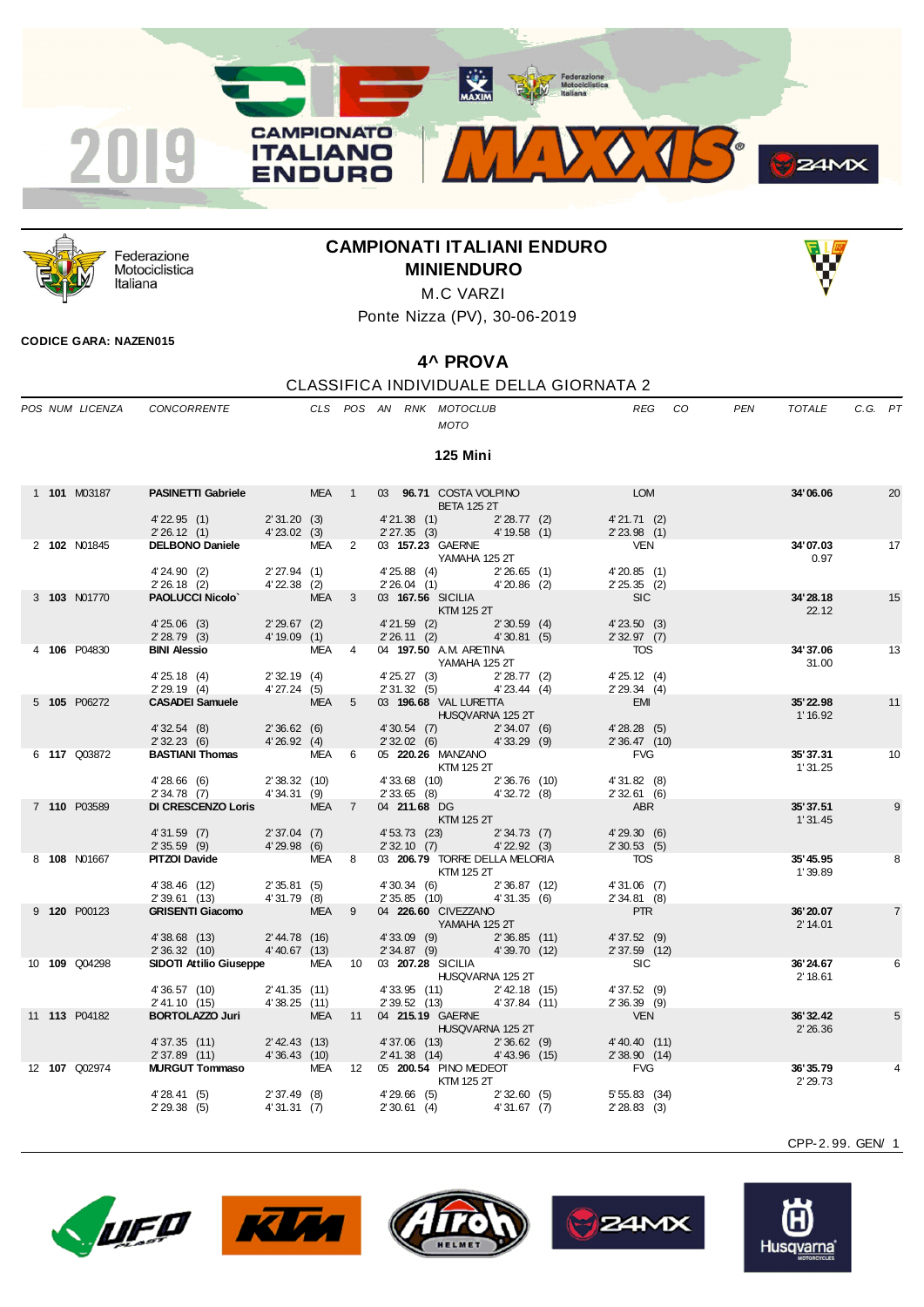



Federazione Motociclistica Italiana

## **CAMPIONATI ITALIANI ENDURO MINIENDURO**



Ponte Nizza (PV), 30-06-2019

## **CODICE GARA: NAZEN015**

## **4^ PROVA**

|  |                      |                                 |                                |            |                |                           |                                                            |                                | CLASSIFICA INDIVIDUALE DELLA GIORNATA 2 |    |     |                      |         |    |
|--|----------------------|---------------------------------|--------------------------------|------------|----------------|---------------------------|------------------------------------------------------------|--------------------------------|-----------------------------------------|----|-----|----------------------|---------|----|
|  | POS NUM LICENZA      | CONCORRENTE                     |                                |            |                |                           | CLS POS AN RNK MOTOCLUB<br>MOTO                            |                                | <b>REG</b>                              | CO | PEN | <b>TOTALE</b>        | C.G. PT |    |
|  |                      |                                 |                                |            |                |                           | <b>125 Mini</b>                                            |                                |                                         |    |     |                      |         |    |
|  | 1 101 M03187         | <b>PASINETTI Gabriele</b> MEA 1 |                                |            |                |                           | 03 96.71 COSTA VOLPINO<br><b>BETA 125 2T</b>               |                                | <b>LOM</b>                              |    |     | 34'06.06             |         | 20 |
|  |                      | $4'$ 22.95 $(1)$<br>2'26.12(1)  | 2'31.20(3)<br>4'23.02(3)       |            |                | 4'21.38 (1)<br>2'27.35(3) |                                                            | 2'28.77(2)<br>4' 19.58 (1)     | 4'21.71(2)<br>$2'$ 23.98 (1)            |    |     |                      |         |    |
|  | 2 102 N01845         | <b>DELBONO Daniele</b> MEA 2    |                                |            |                |                           | 03 157.23 GAERNE<br>YAMAHA 125 2T                          |                                | <b>VEN</b>                              |    |     | 34'07.03<br>0.97     |         | 17 |
|  |                      | 4'24.90(2)<br>$2'26.18$ (2)     | 2'27.94(1)<br>$4'22.38$ (2)    |            |                |                           | 4' 25.88 (4) 2' 26.65 (1)<br>2' 26.04 (1) 4' 20.86 (2)     |                                | 4'20.85(1)<br>2'25.35(2)                |    |     |                      |         |    |
|  | 3 103 N01770         | <b>PAOLUCCI Nicolo</b>          |                                | MEA        | 3              |                           | 03 167.56 SICILIA<br>KTM 125 2T                            |                                | SC                                      |    |     | 34'28.18<br>22.12    |         | 15 |
|  |                      | 4'25.06(3)<br>2'28.79(3)        | $2'29.67$ (2)<br>4'19.09(1)    |            |                |                           | $4'21.59$ (2) $2'30.59$ (4)<br>2' 26.11 (2) 4' 30.81 (5)   |                                | $4'$ 23.50 $(3)$<br>2'32.97(7)          |    |     |                      |         |    |
|  | 4 106 P04830         | <b>BINI Alessio</b>             |                                | MEA        | $\overline{4}$ |                           | 04 197.50 A.M. ARETINA<br>YAMAHA 125 2T                    |                                | <b>TOS</b>                              |    |     | 34' 37.06<br>31.00   |         | 13 |
|  |                      | 4'25.18(4)<br>2'29.19(4)        | 2'32.19(4)<br>4'27.24(5)       |            |                |                           | 4' 25.27 (3) 2' 28.77 (2)<br>$2'31.32(5)$ $4'23.44(4)$     |                                | 4' 25.12 (4)<br>2'29.34(4)              |    |     |                      |         |    |
|  | 5 105 P06272         | <b>CASADEI Samuele</b>          |                                | <b>MEA</b> | $5^{\circ}$    |                           | 03 196.68 VAL LURETTA<br><b>HUSQVARNA 125 2T</b>           |                                | <b>EMI</b>                              |    |     | 35'22.98<br>1' 16.92 |         | 11 |
|  |                      | 4'32.54(8)<br>2'32.23(6)        | 2'36.62(6)<br>4'26.92(4)       |            |                |                           | 4' 30.54 (7) 2' 34.07 (6)<br>2' 32.02 (6) 4' 33.29 (9)     |                                | 4'28.28(5)<br>2' 36.47 (10)             |    |     |                      |         |    |
|  | 6 117 Q03872         | <b>BASTIANI Thomas</b> MEA 6    |                                |            |                |                           | 05 <b>220.26 MANZANO</b><br>KTM 125 2T                     |                                | <b>FVG</b>                              |    |     | 35' 37.31<br>1'31.25 |         | 10 |
|  |                      | 4'28.66(6)<br>$2'34.78$ (7)     | 2'38.32(10)<br>4'34.31 (9)     |            |                | $2'33.65$ (8)             | 4' 33.68 (10) 2' 36.76 (10)<br>2' 33.65 (8) 4' 32.72 (8)   | 4'32.72(8)                     | 4'31.82(8)<br>2'32.61(6)                |    |     |                      |         |    |
|  | 7 110 P03589         | DI CRESCENZO Loris              |                                | <b>MEA</b> | $\overline{7}$ | 04 211.68 DG              | KTM 125 2T                                                 |                                | ABR                                     |    |     | 35'37.51<br>1'31.45  |         | 9  |
|  |                      | $4'31.59$ (7)<br>2'35.59(9)     | 2'37.04(7)<br>4'29.98(6)       |            |                | 2'32.10(7)                | 4' 53.73 (23)                                              | 2'34.73(7)<br>$4'$ 22.92 $(3)$ | 4'29.30(6)<br>2'30.53(5)                |    |     |                      |         |    |
|  | 8 108 N01667         | <b>PITZOI Davide</b>            |                                | MEA        | 8              |                           | 03 206.79 TORRE DELLA MELORIA<br>KTM 125 2T                |                                | <b>TOS</b>                              |    |     | 35'45.95<br>1'39.89  |         | 8  |
|  |                      | 4'38.46 (12)<br>2' 39.61 (13)   | 2'35.81(5)<br>4'31.79 (8)      |            |                |                           | 4'30.34 (6) 2'36.87 (12)<br>2' 35.85 (10)                  | 4'31.35(6)                     | $4'31.06$ (7)<br>2'34.81(8)             |    |     |                      |         |    |
|  | 9 120 P00123         | <b>GRISENTI Giacomo</b>         |                                | MEA        | 9              |                           | 04 226.60 CIVEZZANO<br>YAMAHA 125 2T                       |                                | <b>PTR</b>                              |    |     | 36'20.07<br>2' 14.01 |         | 7  |
|  |                      | 4'38.68 (13)<br>2'36.32(10)     | $2' 44.78$ (16)<br>4'40.67(13) |            |                | 2'34.87(9)                | $4'33.09$ (9)                                              | 2'36.85(11)<br>4'39.70(12)     | 4'37.52(9)<br>2' 37.59 (12)             |    |     |                      |         |    |
|  | 10 109 Q04298        | SIDOTI Attilio Giuseppe         |                                | MEA        | 10             |                           | 03 207.28 SICILIA<br><b>HUSQVARNA 125 2T</b>               |                                | <b>SIC</b>                              |    |     | 36'24.67<br>2' 18.61 |         | 6  |
|  |                      | 4'36.57 (10)<br>2' 41.10 (15)   | 2' 41.35 (11)<br>4'38.25(11)   |            |                |                           | 4' 33.95 (11) 2' 42.18 (15)<br>2' 39.52 (13) 4' 37.84 (11) |                                | 4'37.52(9)<br>$2'36.39$ (9)             |    |     |                      |         |    |
|  | 11 <b>113</b> P04182 | <b>BORTOLAZZO Juri</b>          |                                | <b>MEA</b> | 11             |                           | 04 215.19 GAERNE<br>HUSQVARNA 125 2T                       |                                | <b>VEN</b>                              |    |     | 36' 32.42<br>2'26.36 |         | 5  |
|  |                      | 4'37.35 (11)<br>2'37.89 (11)    | 2' 42.43 (13)<br>4'36.43 (10)  |            |                |                           | 4'37.06 (13)<br>2' 41.38 (14) 4' 43.96 (15)                | 2'36.62(9)                     | 4' 40.40 (11)<br>2'38.90(14)            |    |     |                      |         |    |
|  | 12 107 Q02974        | <b>MURGUT Tommaso</b>           |                                | <b>MEA</b> | 12             |                           | 05 200.54 PINO MEDEOT<br>KTM 125 2T                        |                                | <b>FVG</b>                              |    |     | 36'35.79<br>2' 29.73 |         |    |
|  |                      | 4'28.41(5)<br>2'29.38(5)        | 2'37.49(8)<br>4'31.31 (7)      |            |                | 2'30.61(4)                | 4'29.66 (5) 2'32.60 (5)                                    | 4'31.67 (7)                    | $5'55.83$ (34)<br>2'28.83(3)            |    |     |                      |         |    |









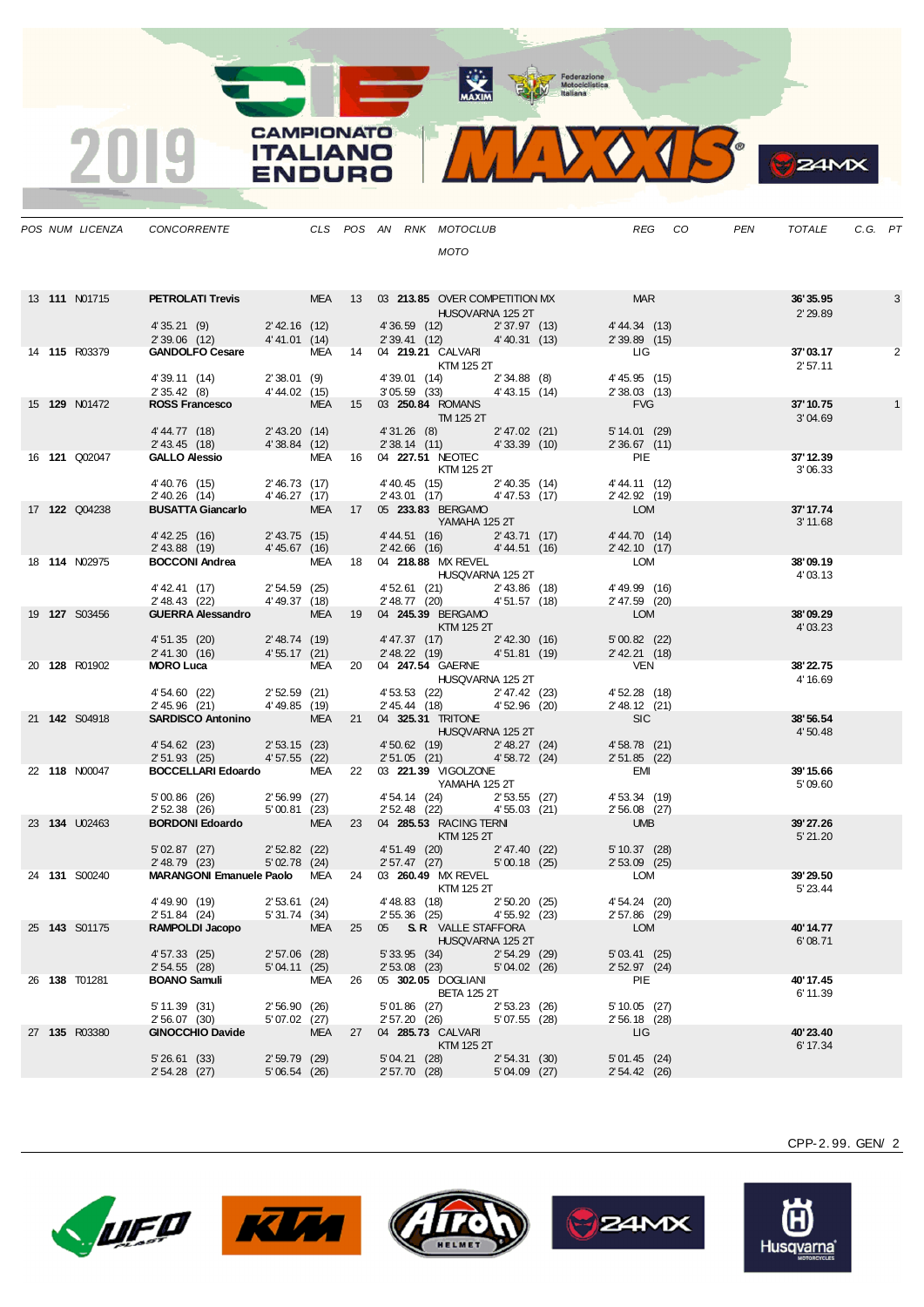Motoclelistica

|  |                      |                                                                                                                                                                                                                                        |                |            |    | MOTO                                                                                                                                                                                                                                                                                                                                                                                                                                                                                       |                                                                                                                                                                                                                             |                       |                       |              |
|--|----------------------|----------------------------------------------------------------------------------------------------------------------------------------------------------------------------------------------------------------------------------------|----------------|------------|----|--------------------------------------------------------------------------------------------------------------------------------------------------------------------------------------------------------------------------------------------------------------------------------------------------------------------------------------------------------------------------------------------------------------------------------------------------------------------------------------------|-----------------------------------------------------------------------------------------------------------------------------------------------------------------------------------------------------------------------------|-----------------------|-----------------------|--------------|
|  | 13 <b>111 N01715</b> | <b>PETROLATI Trevis MEA 13 03 213.85 OVER COMPETITION MX MAR</b>                                                                                                                                                                       |                |            |    |                                                                                                                                                                                                                                                                                                                                                                                                                                                                                            | HUSQVARNA 125 2T                                                                                                                                                                                                            |                       | 36' 35.95<br>2' 29.89 | 3            |
|  |                      | 4' 35.21 (9) 2' 42.16 (12)<br>2' 39.06 (12) 4' 41.01 (14)                                                                                                                                                                              |                |            |    |                                                                                                                                                                                                                                                                                                                                                                                                                                                                                            | 4' 36.59 (12) 2' 37.97 (13) 4' 44.34 (13)<br>2' 39.41 (12) 4' 40.31 (13) 2' 39.89 (15)                                                                                                                                      |                       |                       |              |
|  | 14 <b>115</b> R03379 | GANDOLFO Cesare MEA 14 04 219.21 CALVARI KTM 125 2T                                                                                                                                                                                    |                |            |    |                                                                                                                                                                                                                                                                                                                                                                                                                                                                                            |                                                                                                                                                                                                                             |                       | 37'03.17<br>2'57.11   | 2            |
|  |                      | 4' 39.11 (14) 2' 38.01 (9) 4' 39.01 (14)<br>2' 35.42 (8) 4' 44.02 (15) 3' 05.59 (33)<br><b>ROSS Francesco</b> MEA 15 03 250.84 ROMANS                                                                                                  |                |            |    |                                                                                                                                                                                                                                                                                                                                                                                                                                                                                            | $\begin{array}{ccc}\n & \text{KTM 125 2T} \\ 4'39.01 & (14) & 2'34.88 & (8) & 4'45.95 & (15) \\  & & 3'05.59 & 33 \\ \text{A'33.15} & & (14) & 2'38.03 & (13) \\ \text{A'33.15} & & & (14) & 2'38.03 & (13) \\ \end{array}$ |                       |                       |              |
|  | 15 <b>129</b> N01472 |                                                                                                                                                                                                                                        |                |            |    |                                                                                                                                                                                                                                                                                                                                                                                                                                                                                            | $\sim$ 250.04 KUMANS<br>TM 125 2T                                                                                                                                                                                           | FVG                   | 37'10.75<br>3'04.69   | $\mathbf{1}$ |
|  |                      | 4' 44.77 (18) 2' 43.20 (14) 4' 31.26 (8) 2' 47.02 (21) 5' 14.01 (29)<br>2' 43.45 (18) 4' 38.84 (12) 2' 38.14 (11) 4' 33.39 (10) 2' 36.67 (11)                                                                                          |                |            |    |                                                                                                                                                                                                                                                                                                                                                                                                                                                                                            |                                                                                                                                                                                                                             |                       |                       |              |
|  | 16 <b>121</b> Q02047 | GALLO Alessio MEA 16 04 227.51 NEOTEC RITE PIE PRE                                                                                                                                                                                     |                |            |    |                                                                                                                                                                                                                                                                                                                                                                                                                                                                                            |                                                                                                                                                                                                                             |                       | 37' 12.39<br>3'06.33  |              |
|  |                      | 4' 40.76 (15)  2' 46.73 (17)  4' 40.45 (15)  2' 40.35 (14)  4' 44.11 (12)<br>2' 40.26 (14)  4' 46.27 (17)  2' 43.01 (17)  4' 47.53 (17)  2' 42.92 (19)                                                                                 |                |            |    |                                                                                                                                                                                                                                                                                                                                                                                                                                                                                            |                                                                                                                                                                                                                             |                       |                       |              |
|  | 17 122 Q04238        | EXECUTION TRAINING TRANSPORTATION AND TRANSPORTATION OF 233.83 BERGAMO<br>Alternational MEA 17 05 233.83 BERGAMO<br>243.75 (15) 4'44.51 (16) 2'43.71 (17)                                                                              |                |            |    |                                                                                                                                                                                                                                                                                                                                                                                                                                                                                            |                                                                                                                                                                                                                             |                       | 37' 17.74<br>3' 11.68 |              |
|  |                      | 2' 43.88 (19) 4' 45.67 (16)                                                                                                                                                                                                            |                |            |    |                                                                                                                                                                                                                                                                                                                                                                                                                                                                                            | 2 43.01 (17) 44.33 (17) 2 42.92 (19)<br>05 233.83 BERGAMO<br>YAMAHA 125 2T<br>4' 44.51 (16) 2' 43.71 (17) 4' 44.70 (14)<br>2' 42.66 (16) 4' 44.51 (16) 2' 42.10 (17)                                                        |                       |                       |              |
|  | 18 <b>114 N02975</b> | <b>BOCCONI Andrea</b> MEA 18 04 218.88 MX REVEL LOM<br>4'42.41 (17) 2'54.59 (25) 4'52.61 (21) 2'43.86 (18) 4'49.99 (16)<br>2'48.43 (22) 4'49.37 (18) 2'48.77 (20) 4'51.57 (18) 2'47.59 (20)                                            |                |            |    |                                                                                                                                                                                                                                                                                                                                                                                                                                                                                            |                                                                                                                                                                                                                             |                       | 38'09.19<br>4'03.13   |              |
|  |                      |                                                                                                                                                                                                                                        |                |            |    |                                                                                                                                                                                                                                                                                                                                                                                                                                                                                            | HUSQVARNA 125 2T<br>4' 52.61 (21) 2' 43.86 (18) 4' 49.99 (16)<br>2' 48.77 (20) 4' 51.57 (18) 2' 47.59 (20)<br>3' 47.57 BERCAMO                                                                                              |                       |                       |              |
|  | 19 127 S03456        |                                                                                                                                                                                                                                        |                |            |    |                                                                                                                                                                                                                                                                                                                                                                                                                                                                                            |                                                                                                                                                                                                                             | <b>LOM</b>            | 38'09.29<br>4'03.23   |              |
|  |                      | 4'51.35 (20) 2'48.74 (19) 4'47.37 (17) 2'42.30 (16) 5'00.82 (22)<br>2'41.30 (16) 4'55.17 (21) 2'48.22 (19) 4'51.81 (19) 2'42.21 (18)                                                                                                   |                |            |    |                                                                                                                                                                                                                                                                                                                                                                                                                                                                                            |                                                                                                                                                                                                                             |                       |                       |              |
|  | 20 128 R01902        | <b>MORO Luca</b> $MEA$ 20 04 <b>247.54</b> GAERNE HUSQVARNA 125 2T                                                                                                                                                                     |                |            |    |                                                                                                                                                                                                                                                                                                                                                                                                                                                                                            |                                                                                                                                                                                                                             |                       | 38'22.75<br>4' 16.69  |              |
|  | 21 142 S04918        | 2'52.59 (21)<br>2'52.59 (21)<br>2'45.53 (22)<br>2'47.42 (23)<br>2'45.96 (21)<br>4'49.85 (19)<br>2'45.44 (18)<br>2'45.96 (20)<br>2'48.12 (21)<br>SARDISCO Antonino<br>MEA 21 04 325.31 TRITONE                                          |                |            |    |                                                                                                                                                                                                                                                                                                                                                                                                                                                                                            |                                                                                                                                                                                                                             |                       |                       |              |
|  |                      |                                                                                                                                                                                                                                        |                |            |    |                                                                                                                                                                                                                                                                                                                                                                                                                                                                                            | HUSQVARNA 125 2T                                                                                                                                                                                                            |                       | 38'56.54<br>4'50.48   |              |
|  | 22 118 N00047        | 4'54.62 (23) 2'53.15 (23) 4'50.62 (19) 2'48.27 (24) 4'58.78 (21)<br>2'51.93 (25) 4'57.55 (22) 2'51.05 (21) 4'58.72 (24) 2'51.85 (22)                                                                                                   |                |            |    |                                                                                                                                                                                                                                                                                                                                                                                                                                                                                            |                                                                                                                                                                                                                             |                       | 39'15.66              |              |
|  |                      | BOCCELLARI Edoardo MEA 22 03 221.39 VIGOLZONE<br>YAMAHA 125 2T<br>5'00.86 (26) 2'56.99 (27) 4'54.14 (24) 2'53.55 (27) 4'53.34 (19)<br>2'52.38 (26) 5'00.81 (23) 2'52.48 (22) 4'55.03 (21) 2'56.08 (27)<br>ROPDONI Edoardo MEA 23 04.28 |                |            |    |                                                                                                                                                                                                                                                                                                                                                                                                                                                                                            |                                                                                                                                                                                                                             |                       | 5'09.60               |              |
|  | 23 134 U02463        |                                                                                                                                                                                                                                        |                |            |    |                                                                                                                                                                                                                                                                                                                                                                                                                                                                                            |                                                                                                                                                                                                                             |                       |                       |              |
|  |                      | BORDONI Edoardo MEA 23 04 285.53 RACING TERNI<br>5' 02.87 (27)                                                                                                                                                                         |                |            |    | $\blacksquare$ $\blacksquare$ $\blacksquare$ $\blacksquare$ $\blacksquare$ $\blacksquare$ $\blacksquare$ $\blacksquare$ $\blacksquare$ $\blacksquare$ $\blacksquare$ $\blacksquare$ $\blacksquare$ $\blacksquare$ $\blacksquare$ $\blacksquare$ $\blacksquare$ $\blacksquare$ $\blacksquare$ $\blacksquare$ $\blacksquare$ $\blacksquare$ $\blacksquare$ $\blacksquare$ $\blacksquare$ $\blacksquare$ $\blacksquare$ $\blacksquare$ $\blacksquare$ $\blacksquare$ $\blacksquare$ $\blacks$ |                                                                                                                                                                                                                             | <b>UMB</b>            | 39'27.26<br>5' 21.20  |              |
|  | 24 131 S00240        | 2' 48.79 (23)                                                                                                                                                                                                                          |                |            |    |                                                                                                                                                                                                                                                                                                                                                                                                                                                                                            | 2' 52.82 (22) 4' 51.49 (20) 2' 47.40 (22) 5' 10.37 (28)<br>5' 02.78 (24) 2' 57.47 (27) 5' 00.18 (25) 2' 53.09 (25)                                                                                                          |                       | 39'29.50              |              |
|  |                      | <b>MARANGONI Emanuele Paolo</b> MEA $24$ 03 <b>260.49</b> MX REVEL <b>EXAMPLE EXAMPLE EVALUATE EMBELOM</b> KTM 125.2T                                                                                                                  |                |            |    | <b>KTM 125 2T</b>                                                                                                                                                                                                                                                                                                                                                                                                                                                                          |                                                                                                                                                                                                                             |                       | 5' 23.44              |              |
|  | 25 143 S01175        | 4' 49.90 (19) 2' 53.61 (24) 4' 48.83 (18) 2' 50.20 (25) 4' 54.24 (20)<br>2' 51.84 (24) 5' 31.74 (34) 2' 55.36 (25) 4' 55.92 (23) 2' 57.86 (29)<br>RAMPOLDI Jacopo                                                                      |                |            |    |                                                                                                                                                                                                                                                                                                                                                                                                                                                                                            | MEA 25 05 S.R. VALLE STAFFORA                                                                                                                                                                                               | <b>LOM</b>            | 40'14.77              |              |
|  |                      | 4' 57.33 (25)                                                                                                                                                                                                                          | $2'57.06$ (28) |            |    | 5' 33.95 (34)                                                                                                                                                                                                                                                                                                                                                                                                                                                                              | HUSQVARNA 125 2T<br>2' 54.29 (29)                                                                                                                                                                                           | 5'03.41(25)           | 6'08.71               |              |
|  | 26 <b>138</b> T01281 | 2'54.55(28)<br><b>BOANO Samuli</b>                                                                                                                                                                                                     | 5'04.11(25)    | MEA        | 26 | 2' 53.08 (23)<br>05 302.05 DOGLIANI                                                                                                                                                                                                                                                                                                                                                                                                                                                        | 5'04.02(26)                                                                                                                                                                                                                 | $2'52.97$ (24)<br>PIE | 40' 17.45             |              |
|  |                      | 5' 11.39 (31)                                                                                                                                                                                                                          | 2'56.90(26)    |            |    | $5'01.86$ (27)                                                                                                                                                                                                                                                                                                                                                                                                                                                                             | <b>BETA 125 2T</b><br>2'53.23(26)                                                                                                                                                                                           | $5'10.05$ (27)        | 6' 11.39              |              |
|  | 27 135 R03380        | 2' 56.07 (30)<br><b>GINOCCHIO Davide</b>                                                                                                                                                                                               | 5'07.02 (27)   | <b>MEA</b> | 27 | 2' 57.20 (26)<br>04 285.73 CALVARI                                                                                                                                                                                                                                                                                                                                                                                                                                                         | 5'07.55 (28)                                                                                                                                                                                                                | 2' 56.18 (28)<br>LIG. | 40'23.40              |              |
|  |                      | $5'26.61$ (33)                                                                                                                                                                                                                         | $2'59.79$ (29) |            |    |                                                                                                                                                                                                                                                                                                                                                                                                                                                                                            | KTM 125 2T<br>5'04.21 (28) 2'54.31 (30)                                                                                                                                                                                     | 5'01.45(24)           | 6' 17.34              |              |

*POS NUM LICENZA CONCORRENTE CLS POS AN RNK MOTOCLUB REG CO PEN TOTALE C.G. PT*

**CAMPIONATO** 

**ITALIANO** 

ENDURO

 $\overline{\mathbf{2}}$ 







 $5' 04.09 (27)$ 

5' 26.61 (33) 2' 59.79 (29) 5' 04.21 (28) 2' 54.31 (30) 5' 01.45 (24)





CPP-2. 99. GEN/ 2

 $24MX$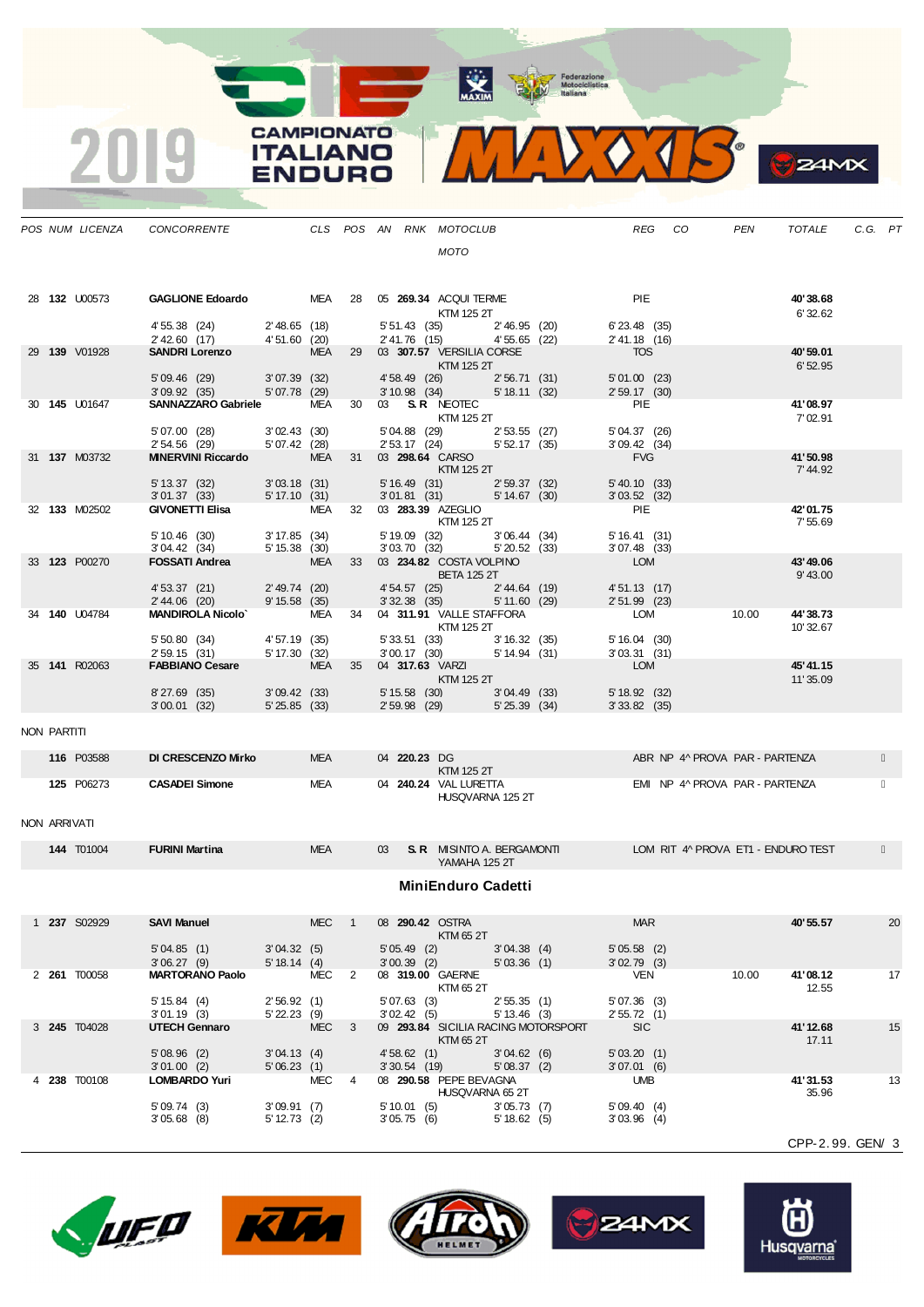MAXIM Representation

MVVOJS

**B**Z4MX

**CAMPIONATO** 

**ITALIANO** 

**ENDURO** 

2019

|              | POS NUM LICENZA     | CONCORRENTE                                                                                                                            |                              |            |                |                          | CLS POS AN RNK MOTOCLUB                                                                                                                                                                                                                                         |                              |                                     | REG                                | CO | PEN                                                              | <b>TOTALE</b>         | C.G. PT |    |
|--------------|---------------------|----------------------------------------------------------------------------------------------------------------------------------------|------------------------------|------------|----------------|--------------------------|-----------------------------------------------------------------------------------------------------------------------------------------------------------------------------------------------------------------------------------------------------------------|------------------------------|-------------------------------------|------------------------------------|----|------------------------------------------------------------------|-----------------------|---------|----|
|              |                     |                                                                                                                                        |                              |            |                |                          | <b>MOTO</b>                                                                                                                                                                                                                                                     |                              |                                     |                                    |    |                                                                  |                       |         |    |
|              | 28 132 U00573       | GAGLIONE Edoardo MEA 28 05 269.34 ACQUI TERME                                                                                          |                              |            |                |                          |                                                                                                                                                                                                                                                                 |                              |                                     | <b>PIE</b>                         |    |                                                                  | 40'38.68              |         |    |
|              |                     | 4' 55.38 (24) 2' 48.65 (18)<br>2' 42.60 (17) 4' 51.60 (20)                                                                             |                              |            |                |                          | KTM 125 2T<br>5' 51.43 (35) 2' 46.95 (20)<br>2' 41.76 (15) 4' 55.65 (22)                                                                                                                                                                                        |                              |                                     | $6'$ 23.48 $(35)$<br>2' 41.18 (16) |    |                                                                  | 6'32.62               |         |    |
|              | 29 139 V01928       | SANDRI Lorenzo                                                                                                                         |                              | MEA        |                |                          | 29 03 307.57 VERSILIA CORSE<br>$\blacksquare$ $\blacksquare$ $\blacksquare$ $\blacksquare$ $\blacksquare$ $\blacksquare$ $\blacksquare$ $\blacksquare$ $\blacksquare$ $\blacksquare$ $\blacksquare$ $\blacksquare$ $\blacksquare$ $\blacksquare$ $\blacksquare$ |                              |                                     | <b>TOS</b>                         |    |                                                                  | 40'59.01<br>6'52.95   |         |    |
|              |                     | 5' 09.46 (29) 3' 07.39 (32)<br>3' 09.92 (35) 5' 07.78 (29)                                                                             |                              |            |                |                          | 4' 58.49 (26) 2' 56.71 (31)<br>3' 10.98 (34) 5' 18.11 (32)                                                                                                                                                                                                      |                              |                                     | $5'01.00$ (23)<br>2'59.17(30)      |    |                                                                  |                       |         |    |
|              | 30 145 U01647       | SANNAZZARO Gabriele MEA                                                                                                                |                              |            |                |                          | 30 03 S.R. NEOTEC<br><b>KTM 125 2T</b>                                                                                                                                                                                                                          |                              |                                     | <b>PIE</b>                         |    |                                                                  | 41'08.97<br>7'02.91   |         |    |
|              |                     | 5'07.00 (28) 3'02.43 (30)<br>$2'54.56$ $(29)$ $5'07.42$ $(28)$                                                                         |                              |            |                |                          | 5'04.88 (29) 2'53.55 (27)<br>2' 53.17 (24) 5' 52.17 (35)                                                                                                                                                                                                        |                              |                                     | 5' 04.37 (26)<br>$3'09.42$ (34)    |    |                                                                  |                       |         |    |
|              | 31 137 M03732       | MINERVINI Riccardo MEA 31 03 298.64 CARSO                                                                                              |                              |            |                |                          | $\blacksquare$ $\blacksquare$ $\blacksquare$ $\blacksquare$ $\blacksquare$ $\blacksquare$ $\blacksquare$ $\blacksquare$ $\blacksquare$ $\blacksquare$ $\blacksquare$ $\blacksquare$ $\blacksquare$ $\blacksquare$ $\blacksquare$                                |                              |                                     | <b>EVG</b>                         |    |                                                                  | 41'50.98<br>7' 44.92  |         |    |
|              |                     | $\begin{array}{llll} 5' \, 13.37 & (32) & \qquad & 3' \, 03.18 & (31) \\ 3' \, 01.37 & (33) & \qquad & 5' \, 17.10 & (31) \end{array}$ |                              |            |                |                          | 5' 16.49 (31) 2' 59.37 (32)<br>3' 01.81 (31) 5' 14.67 (30)                                                                                                                                                                                                      |                              |                                     | $5' 40.10$ (33)<br>3'03.52(32)     |    |                                                                  |                       |         |    |
|              | 32 133 M02502       | <b>GIVONETTI Elisa</b> MEA                                                                                                             |                              |            |                |                          | 32 03 283.39 AZEGLIO<br>KTM 125 2T                                                                                                                                                                                                                              |                              |                                     | <b>PIE</b>                         |    |                                                                  | 42'01.75<br>7'55.69   |         |    |
|              |                     |                                                                                                                                        |                              |            |                |                          | 5' 19.09 (32) 3' 06.44 (34)<br>3' 03.70 (32) 5' 20.52 (33)                                                                                                                                                                                                      | 5'20.52(33)                  |                                     | 5'16.41(31)<br>$3'07.48$ (33)      |    |                                                                  |                       |         |    |
|              | 33 123 P00270       | $5'10.46$ (30) $3'17.85$ (34)<br>$3'04.42$ (34) $5'15.38$ (30)<br><b>FOSSATI Andrea</b> MEA                                            |                              |            |                |                          | 33 03 234.82 COSTA VOLPINO<br><b>Example 125 BETA 125 2T</b>                                                                                                                                                                                                    |                              |                                     | LOM                                |    |                                                                  | 43' 49.06<br>9' 43.00 |         |    |
|              |                     | 4' 53.37 (21)<br>2' 44.06 (20)                                                                                                         | 2'49.74(20)<br>9' 15.58 (35) |            |                |                          | 4' 54.57 (25) 2' 44.64 (19)<br>3' 32.38 (35) 5' 11.60 (29)                                                                                                                                                                                                      |                              |                                     | 4' 51.13 (17)<br>$2'51.99$ (23)    |    |                                                                  |                       |         |    |
|              | 34 140 U04784       | <b>MANDIROLA Nicolo'</b> MEA                                                                                                           |                              |            |                |                          | 34  04  311.91  VALLE STAFFORA<br><b>KTM 125 2T</b>                                                                                                                                                                                                             |                              |                                     | <b>LOM</b>                         |    | 10.00                                                            | 44'38.73<br>10'32.67  |         |    |
|              |                     | 5' 50.80 (34) 4' 57.19 (35)<br>2' 59.15 (31) 5' 17.30 (32)                                                                             |                              |            |                |                          | 5' 33.51 (33) 3' 16.32 (35)<br>3' 00.17 (30) 5' 14.94 (31)                                                                                                                                                                                                      |                              |                                     | 5'16.04(30)<br>3'03.31(31)         |    |                                                                  |                       |         |    |
|              | 35 141 R02063       | FABBIANO Cesare MEA                                                                                                                    |                              |            | 35             |                          | 04 317.63 VARZI 2001 12:00<br><b>KTM 125 2T</b>                                                                                                                                                                                                                 |                              |                                     | <b>LOM</b>                         |    |                                                                  | 45'41.15<br>11'35.09  |         |    |
|              |                     | 8'27.69 (35) 3'09.42 (33)<br>3'00.01(32)                                                                                               | 5'25.85(33)                  |            |                |                          | 5' 15.58 (30) 3' 04.49 (33)<br>2' 59.98 (29) 5' 25.39 (34)                                                                                                                                                                                                      |                              |                                     | 5' 18.92 (32)<br>$3'33.82$ (35)    |    |                                                                  |                       |         |    |
| NON PARTITI  |                     |                                                                                                                                        |                              |            |                |                          |                                                                                                                                                                                                                                                                 |                              |                                     |                                    |    |                                                                  |                       |         |    |
|              | 116 P03588          | DI CRESCENZO Mirko                                                                                                                     |                              | MEA        |                |                          | 04 220.23 DG<br>KTM 125 2T                                                                                                                                                                                                                                      |                              |                                     |                                    |    | ABR NP 4^ PROVA PAR - PARTENZA                                   |                       |         |    |
|              | <b>125 P06273</b>   | <b>CASADEI Simone</b>                                                                                                                  |                              | <b>MEA</b> |                |                          | 04 240.24 VAL LURETTA<br>HUSQVARNA 125 2T                                                                                                                                                                                                                       |                              |                                     |                                    |    | EMI NP 4^ PROVA PAR - PARTENZA                                   |                       |         |    |
| NON ARRIVATI |                     |                                                                                                                                        |                              |            |                |                          |                                                                                                                                                                                                                                                                 |                              |                                     |                                    |    |                                                                  |                       |         |    |
|              | <b>144 T01004</b>   | <b>FURINI Martina</b>                                                                                                                  |                              | <b>MEA</b> |                |                          | YAMAHA 125 2T                                                                                                                                                                                                                                                   |                              |                                     |                                    |    | 03 S.R. MISINTO A. BERGAMONTI LOM RIT 4^ PROVA ET1 - ENDURO TEST |                       |         |    |
|              |                     |                                                                                                                                        |                              |            |                |                          | <b>MiniEnduro Cadetti</b>                                                                                                                                                                                                                                       |                              |                                     |                                    |    |                                                                  |                       |         |    |
|              | 1 237 S02929        | <b>SAVI Manuel</b>                                                                                                                     |                              | MEC        | $\overline{1}$ |                          | 08 290.42 OSTRA<br>KTM 65 2T                                                                                                                                                                                                                                    |                              |                                     | <b>MAR</b>                         |    |                                                                  | 40'55.57              |         | 20 |
|              |                     | 5'04.85(1)<br>3'06.27(9)                                                                                                               | 3'04.32(5)<br>5' 18.14(4)    |            |                |                          | 5' 05.49 (2)<br>$3'00.39$ (2) $5'03.36$ (1)                                                                                                                                                                                                                     | 3'04.38(4)                   |                                     | 5'05.58(2)<br>$3'02.79$ (3)        |    |                                                                  |                       |         |    |
|              | 2 261 T00058        | <b>MARTORANO Paolo</b>                                                                                                                 | MEC 2                        |            |                |                          | 08 319.00 GAERNE<br>KTM 65 2T                                                                                                                                                                                                                                   |                              |                                     | <b>VEN</b>                         |    | 10.00                                                            | 41'08.12<br>12.55     |         | 17 |
|              |                     | 5' 15.84(4)<br>3'01.19(3)                                                                                                              | 2'56.92(1)<br>$5'$ 22.23 (9) |            |                | 5'07.63(3)               | 3'02.42(5)                                                                                                                                                                                                                                                      | 2'55.35(1)<br>$5' 13.46$ (3) |                                     | 5'07.36(3)<br>2'55.72(1)           |    |                                                                  |                       |         |    |
|              | 3 <b>245</b> T04028 | <b>UTECH Gennaro</b>                                                                                                                   | <b>MEC</b>                   |            | - 3            |                          | KTM 65 2T                                                                                                                                                                                                                                                       |                              | 09 293.84 SICILIA RACING MOTORSPORT | <b>SIC</b>                         |    |                                                                  | 41'12.68<br>17.11     |         | 15 |
|              |                     | 5'08.96(2)<br>3'01.00(2)                                                                                                               | 3'04.13(4)<br>5'06.23(1)     |            |                |                          | 4' 58.62 (1) 3' 04.62 (6)<br>3' 30.54 (19) 5' 08.37 (2)                                                                                                                                                                                                         |                              |                                     | 5'03.20(1)<br>3'07.01(6)           |    |                                                                  |                       |         |    |
|              | 4 238 T00108        | <b>LOMBARDO Yuri</b>                                                                                                                   | <b>MEC</b>                   |            | 4              |                          | 08 290.58 PEPE BEVAGNA<br>HUSQVARNA 65 2T                                                                                                                                                                                                                       |                              |                                     | <b>UMB</b>                         |    |                                                                  | 41'31.53<br>35.96     |         | 13 |
|              |                     | 5'09.74(3)<br>$3'05.68$ (8)                                                                                                            | 3'09.91(7)<br>$5' 12.73$ (2) |            |                | 5'10.01(5)<br>3'05.75(6) |                                                                                                                                                                                                                                                                 | 3'05.73(7)<br>5' 18.62 (5)   |                                     | 5'09.40(4)<br>$3'03.96$ (4)        |    |                                                                  |                       |         |    |









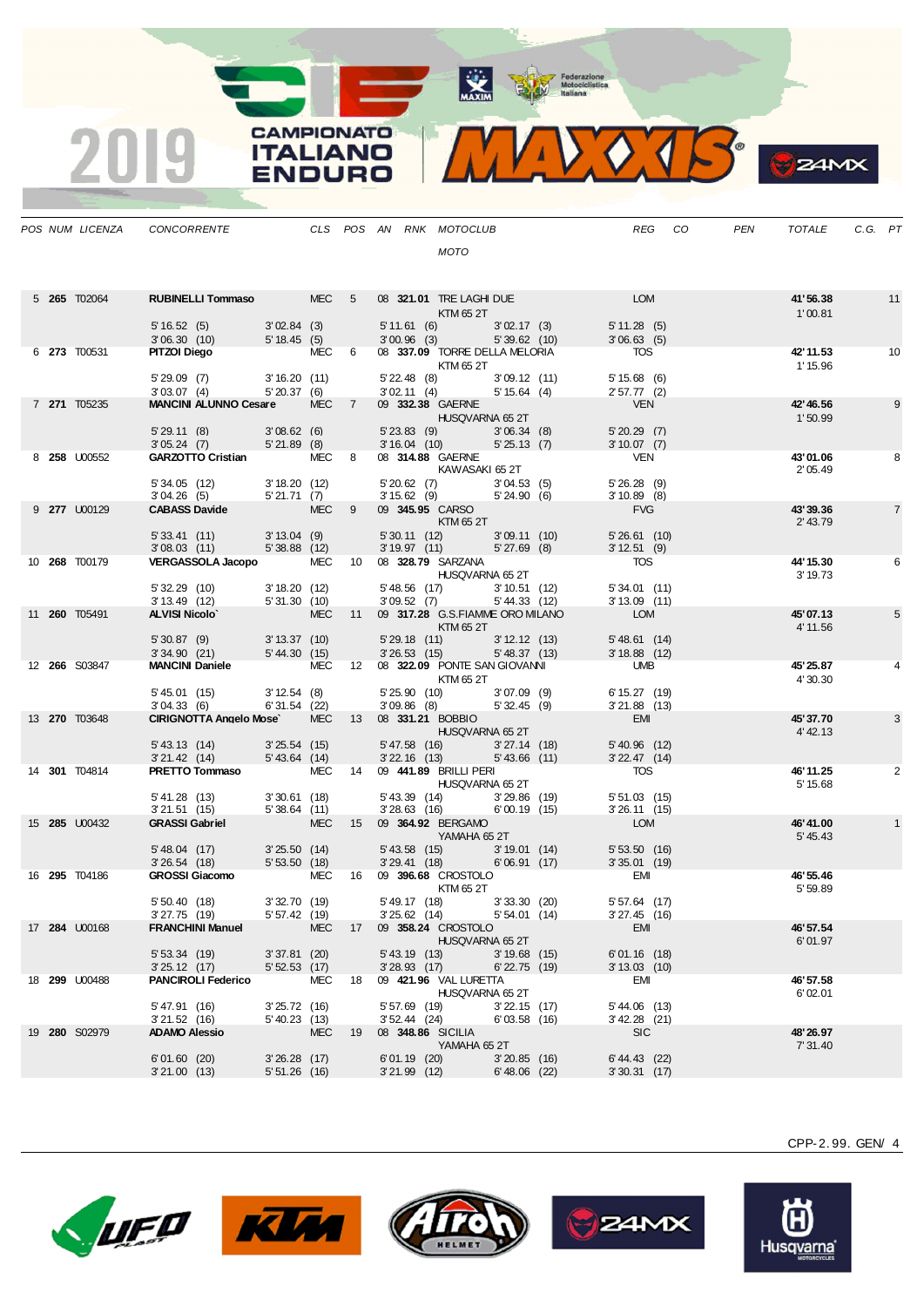MAXIM Pederazione

MIDOJS

|  | POS NUM LICENZA      | CONCORRENTE                                                                                                 |                              |            |    | CLS POS AN RNK MOTOCLUB                                    |                                |                                  |                                                            |                                              | REG CO | PEN | TOTALE                | C.G. PT |                |
|--|----------------------|-------------------------------------------------------------------------------------------------------------|------------------------------|------------|----|------------------------------------------------------------|--------------------------------|----------------------------------|------------------------------------------------------------|----------------------------------------------|--------|-----|-----------------------|---------|----------------|
|  |                      |                                                                                                             |                              |            |    |                                                            | <b>MOTO</b>                    |                                  |                                                            |                                              |        |     |                       |         |                |
|  |                      |                                                                                                             |                              |            |    |                                                            |                                |                                  |                                                            |                                              |        |     |                       |         |                |
|  | 5 265 T02064         | RUBINELLI Tommaso MEC 5                                                                                     |                              |            |    | 08 321.01 TRE LAGHI DUE                                    | KTM 65 2T                      |                                  | <b>EXAMPLE DESCRIPTION AND LON</b>                         |                                              |        |     | 41'56.38<br>1'00.81   |         | 11             |
|  |                      | $5'16.52(5)$ $3'02.84(3)$                                                                                   |                              |            |    |                                                            |                                |                                  | 5' 11.61 (6) 3' 02.17 (3)                                  | 5'11.28(5)                                   |        |     |                       |         |                |
|  | 6 273 T00531         | 3' 06.30 (10) 5' 18.45 (5)<br>PITZOI Diego MEC 6 08 337.09 TORRE DELLA MELORIA                              |                              |            |    | 3'00.96 (3) 5'39.62 (10)                                   |                                |                                  |                                                            | 3'06.63(5)<br><b>TOS</b>                     |        |     | 42' 11.53             |         | 10             |
|  |                      |                                                                                                             |                              |            |    |                                                            | KTM 65 2T                      |                                  |                                                            |                                              |        |     | 1' 15.96              |         |                |
|  |                      | 5' 29.09 (7) 3' 16.20 (11)<br>3'03.07(4)                                                                    | 5'20.37(6)                   |            |    | 5' 22.48 (8) 3' 09.12 (11)<br>3' 02.11 (4) 5' 15.64 (4)    |                                |                                  |                                                            | 5'15.68(6)<br>2'57.77(2)                     |        |     |                       |         |                |
|  | 7 271 T05235         | MANCINI ALUNNO Cesare MEC 7 09 332.38 GAERNE                                                                |                              |            |    | <b>HUSQVARNA 65 2T</b>                                     |                                |                                  |                                                            | VEN                                          |        |     | 42' 46.56<br>1'50.99  |         | 9              |
|  |                      | 5' 29.11 (8) 3' 08.62 (6) 5' 23.83 (9) 3' 06.34 (8)<br>3' 05.24 (7) 5' 21.89 (8) 3' 16.04 (10) 5' 25.13 (7) |                              |            |    |                                                            |                                |                                  |                                                            | 5'20.29(7)                                   |        |     |                       |         |                |
|  | 8 258 U00552         | GARZOTTO Cristian MEC 8 08 314.88 GAERNE                                                                    |                              |            |    |                                                            |                                |                                  |                                                            | $3'10.07$ (7)<br><b>VEN</b>                  |        |     | 43'01.06              |         | 8              |
|  |                      |                                                                                                             |                              |            |    | KAWASAKI 65 2T                                             |                                |                                  |                                                            |                                              |        |     | 2'05.49               |         |                |
|  |                      | 5' 34.05 (12) 3' 18.20 (12)<br>3' 04.26 (5) 5' 21.71 (7)<br>CABASS Davide MEC 9                             |                              |            |    | 5' 20.62 (7) 3' 04.53 (5)<br>3' 15.62 (9) 5' 24.90 (6)     |                                |                                  |                                                            | 5'26.28(9)<br>$3'10.89$ (8)                  |        |     |                       |         |                |
|  | 9 277 U00129         |                                                                                                             |                              |            |    | 09 345.95 CARSO                                            | KTM 65 2T                      |                                  |                                                            | <b>FVG</b>                                   |        |     | 43'39.36<br>2' 43.79  |         | $\overline{7}$ |
|  |                      | 5' 33.41 (11) 3' 13.04 (9)<br>3' 08.03 (11) 5' 38.88 (12)                                                   |                              |            |    | 5' 30.11 (12) 3' 09.11 (10)<br>3' 19.97 (11) 5' 27.69 (8)  |                                |                                  |                                                            | 5'26.61(10)                                  |        |     |                       |         |                |
|  | 10 268 T00179        | VERGASSOLA Jacopo MEC 10 08 328.79 SARZANA                                                                  |                              |            |    |                                                            |                                |                                  |                                                            | 3'12.51(9)<br><b>TOS</b>                     |        |     | 44' 15.30             |         | 6              |
|  |                      |                                                                                                             |                              |            |    |                                                            | HUSQVARNA 65 2T                |                                  |                                                            |                                              |        |     | 3' 19.73              |         |                |
|  |                      | 5' 32.29 (10)<br>3' 13.49 (12)                                                                              | 3' 18.20(12)<br>5'31.30(10)  |            |    | 5' 48.56 (17) 3' 10.51 (12)<br>3' 09.52 (7) 5' 44.33 (12)  |                                |                                  |                                                            | 5'34.01(11)<br>$3'13.09$ (11)                |        |     |                       |         |                |
|  | 11 <b>260</b> T05491 | <b>ALVISI Nicolo'</b>                                                                                       |                              |            |    | MEC 11 09 317.28 G.S.FIAMME ORO MILANO                     |                                |                                  |                                                            | <b>LOM</b>                                   |        |     | 45'07.13              |         | 5              |
|  |                      | 5' 30.87 (9) 3' 13.37 (10)<br>3' 34.90 (21) 5' 44.30 (15)                                                   |                              |            |    |                                                            | KTM 65 2T                      |                                  | 5' 29.18 (11) 3' 12.12 (13)<br>3' 26.53 (15) 5' 48.37 (13) | 5' 48.61 (14)                                |        |     | 4' 11.56              |         |                |
|  | 12 266 S03847        | MANCINI Daniele MEC 12 08 322.09 PONTE SAN GIOVANNI UMB                                                     |                              |            |    |                                                            |                                |                                  |                                                            | $3'18.88$ (12)                               |        |     | 45' 25.87             |         | 4              |
|  |                      |                                                                                                             |                              |            |    |                                                            | KTM 65 2T                      |                                  |                                                            |                                              |        |     | 4'30.30               |         |                |
|  |                      | 5' 45.01 (15) 3' 12.54 (8)<br>3' 04.33 (6) 6' 31.54 (22)                                                    |                              |            |    |                                                            |                                |                                  | 5' 25.90 (10) 3' 07.09 (9)<br>3' 09.86 (8) 5' 32.45 (9)    | 6' 15.27 (19)<br>$3'21.88$ (13)              |        |     |                       |         |                |
|  | 13 270 T03648        | CIRIGNOTTA Angelo Mose MEC 13 08 331.21 BOBBIO                                                              |                              |            |    |                                                            |                                |                                  |                                                            | <b>EMI</b><br>n a                            |        |     | 45'37.70              |         | 3              |
|  |                      | 5' 43.13 (14) 3' 25.54 (15)                                                                                 |                              |            |    | $5'47.58$ (16) $3'27.14$ (18)                              | HUSQVARNA 65 2T                |                                  |                                                            | $5'$ 40.96 (12)                              |        |     | 4' 42.13              |         |                |
|  | 14 301 T04814        | 3'21.42 (14) 5'43.64 (14)<br><b>PRETTO Tommaso</b> MEC 14 09 441.89 BRILLI PERI                             |                              |            |    | 3' 22.16 (13) 5' 43.66 (11)                                |                                |                                  |                                                            | $3'$ 22.47 $(14)$<br><b>TOS</b>              |        |     | 46' 11.25             |         | 2              |
|  |                      |                                                                                                             |                              |            |    |                                                            | <b>HUSQVARNA 65 2T</b>         |                                  |                                                            |                                              |        |     | 5' 15.68              |         |                |
|  |                      | 5' 41.28 (13) 3' 30.61 (18)<br>3' 21.51 (15) 5' 38.64 (11)                                                  |                              |            |    | 5' 43.39 (14) 3' 29.86 (19)<br>3'28.63 (16) 6'00.19 (15)   |                                |                                  |                                                            | $5'51.03$ (15)<br>$3'26.11$ (15)             |        |     |                       |         |                |
|  | 15 <b>285 U00432</b> | <b>GRASSI Gabriel</b>                                                                                       | <b>STATE MECHANICS</b>       |            |    | 15 09 364.92 BERGAMO                                       |                                |                                  |                                                            | <b>LOM</b>                                   |        |     | 46'41.00              |         |                |
|  |                      |                                                                                                             |                              |            |    |                                                            | <b>Example 21 YAMAHA 65 2T</b> |                                  |                                                            | 5'53.50(16)                                  |        |     | 5' 45.43              |         |                |
|  |                      | 5' 48.04 (17) 3' 25.50 (14)<br>3' 26.54 (18) 5' 53.50 (18)                                                  |                              |            |    | 5' 43.58 (15) 3' 19.01 (14)<br>3' 29.41 (18) 6' 06.91 (17) |                                |                                  |                                                            | 5' 53.50 (16)<br>3' 35.01 (19)<br><b>EMI</b> |        |     |                       |         |                |
|  | 16 <b>295</b> T04186 | GROSSI Giacomo MEC 16 09 396.68 CROSTOLO                                                                    |                              |            |    |                                                            | KTM 65 2T                      |                                  |                                                            |                                              |        |     | 46' 55.46<br>5' 59.89 |         |                |
|  |                      | 5'50.40(18)<br>$3'27.75$ (19)                                                                               | 3'32.70(19)<br>5' 57.42 (19) |            |    | 5'49.17 (18) 3'33.30 (20)<br>$3'25.62$ (14)                |                                | 5' 54.01 (14)                    |                                                            | $5'57.64$ (17)<br>$3'27.45$ (16)             |        |     |                       |         |                |
|  | 17 <b>284 U00168</b> | <b>FRANCHINI Manuel</b>                                                                                     |                              | <b>MEC</b> |    | 17 09 358.24 CROSTOLO                                      |                                |                                  |                                                            | EMI                                          |        |     | 46' 57.54             |         |                |
|  |                      | 5'53.34(19)                                                                                                 | 3'37.81(20)                  |            |    | $5'$ 43.19 $(13)$                                          | HUSQVARNA 65 2T                | $3'19.68$ (15)                   |                                                            | 6'01.16(18)                                  |        |     | 6'01.97               |         |                |
|  |                      | 3'25.12(17)                                                                                                 | 5'52.53(17)                  |            |    | $3'28.93$ (17)                                             |                                | $6'$ 22.75 $(19)$                |                                                            | $3' 13.03$ (10)                              |        |     |                       |         |                |
|  | 18 <b>299</b> U00488 | <b>PANCIROLI Federico</b>                                                                                   |                              | MEC        | 18 | 09 421.96 VAL LURETTA                                      | HUSQVARNA 65 2T                |                                  |                                                            | EMI                                          |        |     | 46' 57.58<br>6'02.01  |         |                |
|  |                      | 5' 47.91 (16)<br>3'21.52(16)                                                                                | 3'25.72(16)<br>5' 40.23 (13) |            |    | 5' 57.69 (19)<br>$3'52.44$ (24)                            |                                | $3'22.15$ (17)<br>$6'03.58$ (16) |                                                            | $5' 44.06$ (13)<br>$3'$ 42.28 (21)           |        |     |                       |         |                |
|  | 19 280 S02979        | <b>ADAMO Alessio</b>                                                                                        |                              | <b>MEC</b> | 19 | 08 348.86 SICILIA                                          |                                |                                  |                                                            | <b>SIC</b>                                   |        |     | 48'26.97              |         |                |
|  |                      | 6'01.60(20)                                                                                                 | $3'26.28$ (17)               |            |    | $6'01.19$ (20)                                             | YAMAHA 65 2T                   | $3'20.85$ (16)                   |                                                            | 6' 44.43 (22)                                |        |     | 7' 31.40              |         |                |
|  |                      | 3'21.00(13)                                                                                                 | $5'51.26$ (16)               |            |    | $3'21.99$ (12)                                             |                                | $6'48.06$ (22)                   |                                                            | 3'30.31(17)                                  |        |     |                       |         |                |

**CAMPIONATO** 

**ITALIANO** 

**ENDURO** 

2019









CPP-2. 99. GEN/ 4

**B**Z4MX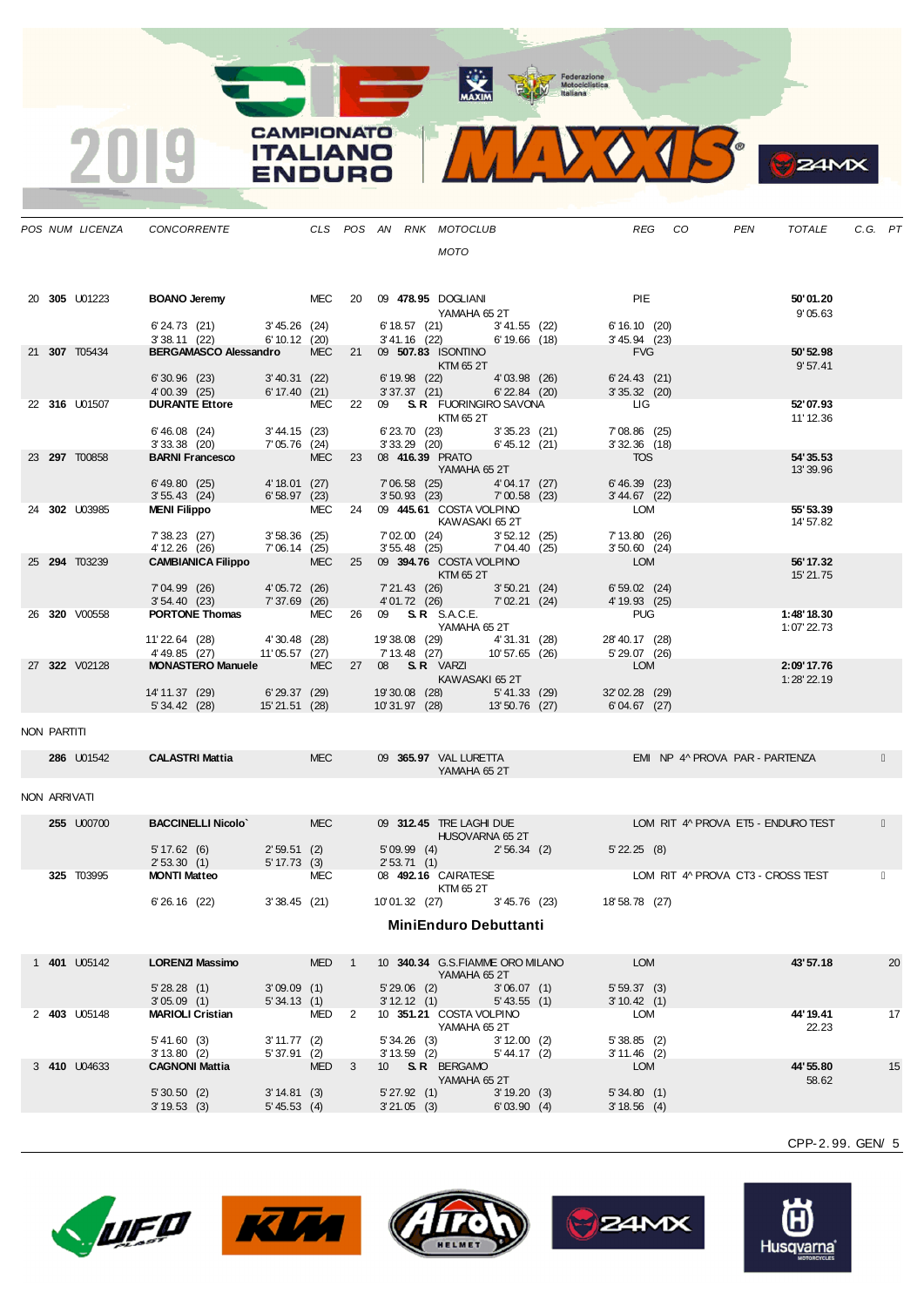MAXIM Federazione<br>Motociclistica<br>Italiana

**CAMPIONATO ITALIANO ENDURO** 

|              | POS NUM LICENZA | CONCORRENTE                                          |                                |                  | CLS POS AN RNK MOTOCLUB        |                                                 |                             |                                           | <b>REG</b> | CO | <b>PEN</b>                         | <b>TOTALE</b>          | C.G. PT |    |
|--------------|-----------------|------------------------------------------------------|--------------------------------|------------------|--------------------------------|-------------------------------------------------|-----------------------------|-------------------------------------------|------------|----|------------------------------------|------------------------|---------|----|
|              |                 |                                                      |                                |                  |                                | <b>MOTO</b>                                     |                             |                                           |            |    |                                    |                        |         |    |
|              | 20 305 U01223   | <b>BOANO Jeremy</b>                                  |                                |                  | MEC 20 09 478.95 DOGLIANI      |                                                 |                             |                                           | PIE        |    |                                    | 50'01.20               |         |    |
|              |                 |                                                      |                                |                  |                                | YAMAHA 65 2T                                    |                             |                                           |            |    |                                    | 9'05.63                |         |    |
|              |                 | 6'24.73 (21)<br>3'38.11(22)                          | 3'45.26(24)<br>$6' 10.12$ (20) |                  | 3'41.16 (22)                   | 6' 18.57 (21) 3' 41.55 (22)                     | $6'19.66$ (18)              | 6'16.10(20)<br>$3'45.94$ (23)             |            |    |                                    |                        |         |    |
|              | 21 307 T05434   | <b>BERGAMASCO Alessandro</b>                         |                                | <b>MEC</b>       | 21 09 507.83 ISONTINO          | KTM 65 2T                                       |                             |                                           | <b>FVG</b> |    |                                    | 50' 52.98<br>9'57.41   |         |    |
|              |                 | 6'30.96 (23)                                         | 3' 40.31 (22)                  |                  |                                | 6' 19.98 (22) 4' 03.98 (26)                     |                             | $6'$ 24.43 $(21)$                         |            |    |                                    |                        |         |    |
|              | 22 316 U01507   | 4'00.39(25)<br><b>DURANTE Ettore</b>                 | 6' 17.40 (21)                  | <b>MEC</b>       | 22 09 S.R. FUORINGIRO SAVONA   | 3'37.37(21)                                     | $6'$ 22.84 $(20)$           | $3'35.32$ (20)<br><b>LIG</b>              |            |    |                                    | 52'07.93               |         |    |
|              |                 |                                                      |                                |                  |                                | KTM 65 2T                                       |                             |                                           |            |    |                                    | 11' 12.36              |         |    |
|              |                 | 6'46.08 (24)<br>$3'33.38$ (20)                       | 3' 44.15 (23)<br>7'05.76 (24)  |                  | $3'33.29$ (20)                 | 6' 23.70 (23)                                   | 3'35.23(21)<br>6'45.12(21)  | $7'08.86$ (25)<br>$3'32.36$ (18)          |            |    |                                    |                        |         |    |
|              | 23 297 T00858   | BARNI Francesco                                      |                                | <b>MEC</b>       | 23 08 416.39 PRATO             |                                                 |                             | <b>TOS</b>                                |            |    |                                    | 54'35.53               |         |    |
|              |                 | 6'49.80 (25)                                         | 4' 18.01 (27)                  |                  | 7'06.58 (25)                   | <b>Example 21 YAMAHA 65 2T</b>                  | 4'04.17(27)                 | 6'46.39(23)                               |            |    |                                    | 13'39.96               |         |    |
|              |                 | 3'55.43(24)                                          | 6'58.97(23)                    |                  |                                | $3'50.93$ (23)                                  | $7'00.58$ (23)              | $3' 44.67$ (22)                           |            |    |                                    |                        |         |    |
|              | 24 302 U03985   | <b>MENI Filippo</b>                                  |                                |                  | MEC 24 09 445.61 COSTA VOLPINO | KAWASAKI 65 2T                                  |                             | LOM                                       |            |    |                                    | 55' 53.39<br>14' 57.82 |         |    |
|              |                 | 7' 38.23 (27)                                        | 3'58.36(25)                    |                  |                                | 7' 02.00 (24)<br>3' 55.48 (25)                  | 3'52.12(25)                 | 7' 13.80 (26)                             |            |    |                                    |                        |         |    |
|              | 25 294 T03239   | 4' 12.26 (26)<br><b>CAMBIANICA Filippo MEC</b>       | 7'06.14(25)                    |                  | 25 09 394.76 COSTA VOLPINO     |                                                 | 7'04.40 (25)                | $3'50.60$ (24)<br><b>LOM</b>              |            |    |                                    | 56' 17.32              |         |    |
|              |                 |                                                      |                                |                  |                                | KTM 65 2T                                       |                             |                                           |            |    |                                    | 15' 21.75              |         |    |
|              |                 | 7'04.99 (26)<br>3' 54.40 (23) 7' 37.69 (26)          | 4'05.72(26)                    |                  |                                | 7' 21.43 (26)<br>4' 01.72 (26)                  | 3'50.21(24)<br>7'02.21 (24) | $6'59.02$ (24)<br>4' 19.93 (25)           |            |    |                                    |                        |         |    |
|              | 26 320 V00558   | <b>PORTONE Thomas</b>                                |                                | MEC              | 26 09 S.R. S.A.C.E.            |                                                 |                             |                                           | <b>PUG</b> |    |                                    | 1:48'18.30             |         |    |
|              |                 | 11'22.64 (28)                                        | 4'30.48 (28)                   |                  |                                | YAMAHA 65 2T<br>19'38.08 (29) 4'31.31 (28)      |                             | 28' 40.17 (28)                            |            |    |                                    | 1:07' 22.73            |         |    |
|              |                 | 4'49.85 (27)                                         | 11'05.57 (27)                  |                  | 7' 13.48 (27)                  |                                                 | 10'57.65 (26)               | 5' 29.07 (26)                             |            |    |                                    |                        |         |    |
|              | 27 322 V02128   | <b>MONASTERO Manuele</b>                             |                                | <b>MEC</b>       | 27 08 <b>S.R</b> VARZI         | KAWASAKI 65 2T                                  |                             | <b>LOM</b>                                |            |    |                                    | 2:09'17.76             |         |    |
|              |                 | 14' 11.37 (29) 6' 29.37 (29)                         |                                |                  | 19'30.08 (28) 5'41.33 (29)     |                                                 |                             | 32'02.28 (29)                             |            |    |                                    | 1:28' 22.19            |         |    |
|              |                 | 5' 34.42 (28) 15' 21.51 (28)                         |                                |                  | 10'31.97 (28) 13'50.76 (27)    |                                                 |                             | 6'04.67 (27)                              |            |    |                                    |                        |         |    |
| NON PARTITI  |                 |                                                      |                                |                  |                                |                                                 |                             |                                           |            |    |                                    |                        |         |    |
|              | 286 U01542      | <b>CALASTRI Mattia</b>                               |                                | <b>MEC</b>       |                                | 09 365.97 VAL LURETTA                           |                             |                                           |            |    | EMI NP 4^ PROVA PAR - PARTENZA     |                        |         |    |
|              |                 |                                                      |                                |                  |                                | YAMAHA 65 2T                                    |                             |                                           |            |    |                                    |                        |         |    |
| NON ARRIVATI |                 |                                                      |                                |                  |                                |                                                 |                             |                                           |            |    |                                    |                        |         |    |
|              | 255 U00700      | <b>BACCINELLI Nicolo' All and SACCINELLI Nicolo'</b> |                                | <b>MEC</b>       |                                | 09 312.45 TRE LAGHI DUE<br>HUSQVARNA 65 2T      |                             |                                           |            |    | LOM RIT 4^ PROVA ET5 - ENDURO TEST |                        |         |    |
|              |                 | 5' 17.62 (6)<br>2'53.30(1)                           | 2'59.51(2)<br>5' 17.73 (3)     |                  | 2'53.71(1)                     |                                                 |                             | $5'09.99$ (4) $2'56.34$ (2) $5'22.25$ (8) |            |    |                                    |                        |         |    |
|              | 325 T03995      | <b>MONTI Matteo</b>                                  |                                | MEC              |                                | 08 492.16 CAIRATESE<br>KTM 65 2T                |                             |                                           |            |    | LOM RIT 4^ PROVA CT3 - CROSS TEST  |                        |         |    |
|              |                 | $6'26.16$ (22)                                       | 3'38.45(21)                    |                  | 10'01.32 (27) 3'45.76 (23)     |                                                 |                             | 18'58.78 (27)                             |            |    |                                    |                        |         |    |
|              |                 |                                                      |                                |                  |                                | <b>MiniEnduro Debuttanti</b>                    |                             |                                           |            |    |                                    |                        |         |    |
|              |                 |                                                      |                                |                  |                                |                                                 |                             |                                           |            |    |                                    |                        |         |    |
|              | 1 401 U05142    | <b>LORENZI Massimo</b>                               |                                | MED <sub>1</sub> |                                | 10 340.34 G.S.FIAMME ORO MILANO<br>YAMAHA 65.2T |                             |                                           | <b>LOM</b> |    |                                    | 43' 57.18              |         | 20 |

YAMAHA 65 2T 5' 28.28 (1) 3' 09.09 (1) 5' 29.06 (2) 3' 06.07 (1) 5' 59.37 (3) 3' 05.09 (1) 5' 34.13 (1) 3' 12.12 (1) 5' 43.55 (1) 3' 10.42 (1) 2 **403** U05148 **MARIOLI Cristian** MED 2 10 **351.21** COSTA VOLPINO LOM **44'19.41** 17 YAMAHA 65 2T 22.23 5' 41.60 (3) 3' 11.77 (2) 5' 34.26 (3) 3' 12.00 (2) 5' 38.85 (2) 3' 13.80 (2) 5' 37.91 (2) 3' 13.59 (2) 5' 44.17 (2) 3' 11.46 (2)<br>**CAGNONI Mattia** MED 3 10 **S.R.** BERGAMO LOM 3 **410** U04633 **CAGNONI Mattia** MED 3 10 **S. R.** BERGAMO LOM **44'55.80** 15  $YAMAHA$  65 2T  $58.62$ 5' 30.50 (2) 3' 14.81 (3) 5' 27.92 (1) 3' 19.20 (3) 5' 34.80 (1) 3' 19.53 (3) 5' 45.53 (4) 3' 21.05 (3) 6' 03.90 (4) 3' 18.56 (4)

CPP-2. 99. GEN/ 5

 $24MX$ 



 $\mathbf 2$ 







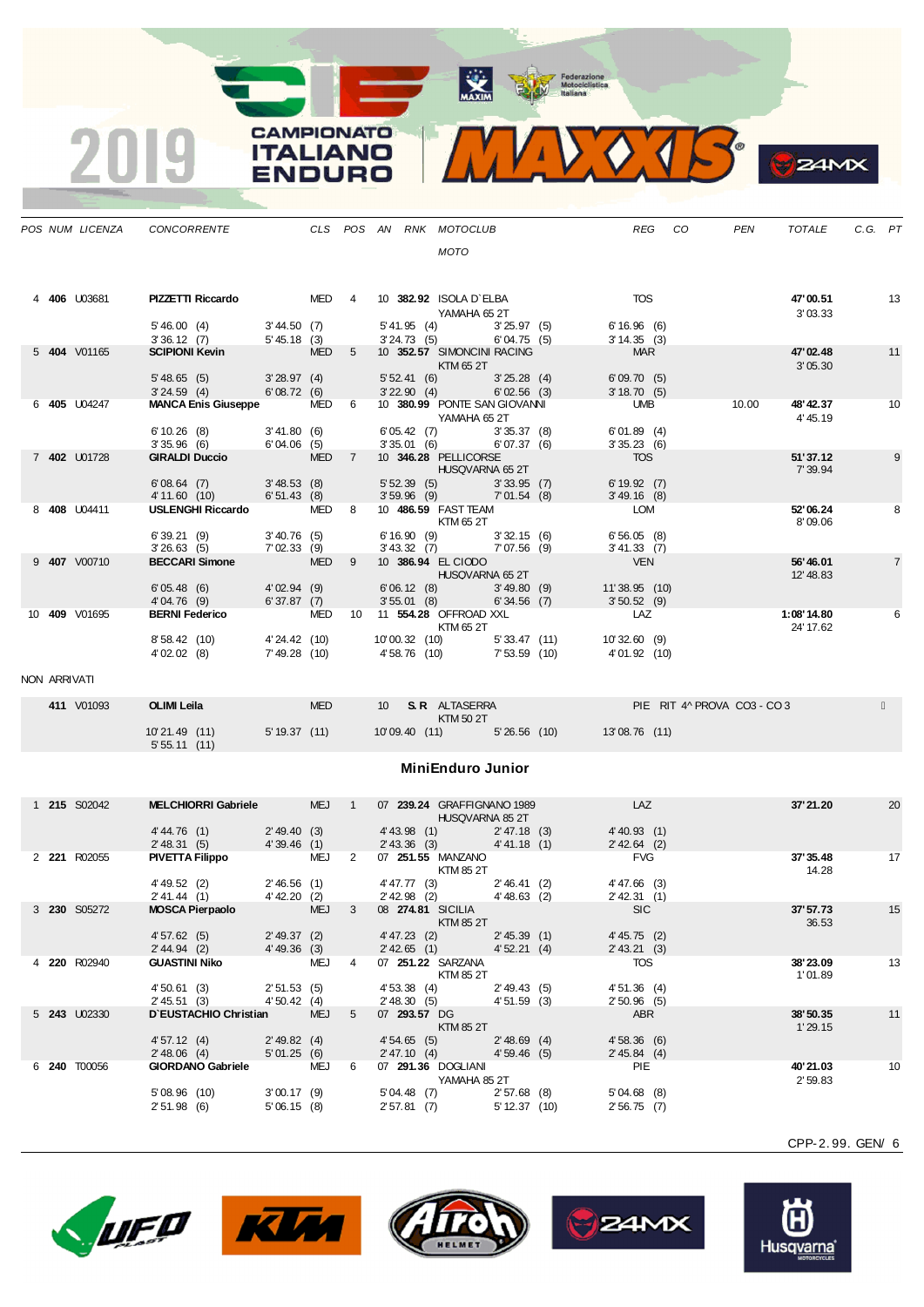Federazione<br>
Motociclistica<br>
ttaliana

MAXIM

**CAMPIONATO** 9 **ITALIANO ENDURO** 

 $\overline{2}$ 

|              | POS NUM LICENZA             | CONCORRENTE                                                                                                                                     |              |            | CLS POS AN RNK MOTOCLUB                                 |                                                        |  |                                                                 | REG CO | PEN                         | TOTALE                  | C.G. PT |                |
|--------------|-----------------------------|-------------------------------------------------------------------------------------------------------------------------------------------------|--------------|------------|---------------------------------------------------------|--------------------------------------------------------|--|-----------------------------------------------------------------|--------|-----------------------------|-------------------------|---------|----------------|
|              |                             |                                                                                                                                                 |              |            |                                                         | <b>MOTO</b>                                            |  |                                                                 |        |                             |                         |         |                |
|              | 4 406 U03681                | <b>PIZZETTI Riccardo</b>                                                                                                                        |              |            | MED 4 10 382.92 ISOLA D'ELBA                            | YAMAHA 65 2T                                           |  | TOS                                                             |        |                             | 47'00.51<br>3'03.33     |         | 13             |
|              |                             | 5' 46.00 (4) 3' 44.50 (7)<br>3' 36.12 (7) 5' 45.18 (3)                                                                                          |              |            |                                                         | 5' 41.95 (4) 3' 25.97 (5)<br>3' 24.73 (5) 6' 04.75 (5) |  | $6'16.96$ (6)<br>$3'14.35$ (3)<br>3'14.35(3)                    |        |                             |                         |         |                |
|              | 5 404 V01165                | $330.12$ ( <i>t</i> )<br><b>SCIPIONI Kevin</b> MED 5                                                                                            |              |            | 10 352.57 SIMONCINI RACING                              | <b>Example 25 ST EXTM 65 2T</b>                        |  | MAR                                                             |        |                             | 47'02.48<br>3'05.30     |         | 11             |
|              |                             | 5'48.65(5)<br>3'24.59 (4) 6'08.72 (6)                                                                                                           | 3'28.97(4)   |            |                                                         | 5' 52.41 (6) 3' 25.28 (4)<br>3' 22.90 (4) 6' 02.56 (3) |  | 6'09.70(5)<br>3'18.70(5)                                        |        |                             |                         |         |                |
|              | 6 405 U04247                | MANCA Enis Giuseppe MED 6 10 380.99 PONTE SAN GIOVANNI                                                                                          |              |            |                                                         |                                                        |  | <b>UMB</b>                                                      |        | 10.00                       | 48' 42.37               |         | 10             |
|              |                             |                                                                                                                                                 |              |            |                                                         | YAMAHA 65 2T                                           |  |                                                                 |        |                             | 4' 45.19                |         |                |
|              |                             |                                                                                                                                                 |              |            |                                                         | 6' 05.42 (7) 3' 35.37 (8)<br>3' 35.01 (6) 6' 07.37 (6) |  | 6'01.89(4)<br>3'35.23(6)                                        |        |                             |                         |         |                |
|              | 7 402 U01728                | 6'10.26 (8) 3'41.80 (6) 6'05.42 (7) 3'35.37 (8)<br>3'35.96 (6) 6'04.06 (5) 3'35.01 (6) 6'07.37 (6)<br>GIRALDI Duccio MED 7 10 346.28 PELLICORSE |              |            |                                                         | <b>HUSQVARNA 65 2T</b>                                 |  | TOS                                                             |        |                             | 51'37.12<br>7' 39.94    |         | 9              |
|              |                             | 6'08.64 (7) 3'48.53 (8)<br>4'11.60 (10) 6'51.43 (8)                                                                                             |              |            |                                                         | 5' 52.39 (5) 3' 33.95 (7)<br>3' 59.96 (9) 7' 01.54 (8) |  | 6'19.92(7)                                                      |        |                             |                         |         |                |
|              | 8 408 U04411                | USLENGHI Riccardo MED 8                                                                                                                         |              |            |                                                         | 10 486.59 FAST TEAM<br><b>KTM 65 2T</b>                |  | 3' 49.16 (8)<br><b>LOM</b>                                      |        |                             | 52'06.24<br>8'09.06     |         | 8              |
|              |                             | 6' 39.21 (9) 3' 40.76 (5)<br>3' 26.63 (5) 7' 02.33 (9)                                                                                          |              |            |                                                         | 6' 16.90 (9) 3' 32.15 (6)<br>3' 43.32 (7) 7' 07.56 (9) |  | 6'56.05(8)<br>3'41.33(7)                                        |        |                             |                         |         |                |
|              | 9 407 V00710                | BECCARI Simone MED 9                                                                                                                            |              |            |                                                         | 10 386.94 EL CIODO<br><b>HUSQVARNA 65 2T</b>           |  | <b>VEN</b>                                                      |        |                             | 56'46.01<br>12'48.83    |         | $\overline{7}$ |
|              |                             | 6' 05.48 (6) 4' 02.94 (9)<br>4' 04.76 (9) 6' 37.87 (7)                                                                                          |              |            |                                                         | 6'06.12 (8) 3'49.80 (9)<br>3'55.01 (8) 6'34.56 (7)     |  | 11'38.95 (10)<br>3'50.52(9)                                     |        |                             |                         |         |                |
|              | 10 409 V01695               | BERNI Federico MED 10 11 554.28 OFFROAD XXL                                                                                                     |              |            |                                                         | <b>KTM 65 2T</b>                                       |  | LAZ                                                             |        |                             | 1:08'14.80<br>24' 17.62 |         | 6              |
|              |                             | 8' 58.42 (10) 4' 24.42 (10)<br>4'02.02 (8)                                                                                                      | 7'49.28 (10) |            | 10'00.32 (10) 5'33.47 (11)<br>4'58.76 (10) 7'53.59 (10) |                                                        |  | 10'32.60(9)<br>4'01.92 (10)                                     |        |                             |                         |         |                |
| NON ARRIVATI |                             |                                                                                                                                                 |              |            |                                                         |                                                        |  |                                                                 |        |                             |                         |         |                |
|              | 411 V01093                  | <b>OLIMI Leila Collimbus</b>                                                                                                                    |              | <b>MED</b> | KTM 50 2T                                               | 10 S.R. ALTASERRA                                      |  |                                                                 |        | PIE RIT 4^ PROVA CO3 - CO 3 |                         |         |                |
|              |                             | 10'21.49(11)<br>5'55.11(11)                                                                                                                     |              |            |                                                         |                                                        |  | 5' 19.37 (11)   10' 09.40 (11)   5' 26.56 (10)   13' 08.76 (11) |        |                             |                         |         |                |
|              |                             |                                                                                                                                                 |              |            |                                                         | <b>MiniEnduro Junior</b>                               |  |                                                                 |        |                             |                         |         |                |
|              |                             |                                                                                                                                                 |              |            |                                                         |                                                        |  | <b>Example 18 LAZ</b>                                           |        |                             |                         |         |                |
|              | 1 215 S02042                | MELCHIORRI Gabriele MEJ 1                                                                                                                       |              |            |                                                         | 07 239.24 GRAFFIGNANO 1989<br>HUSQVARNA 85 2T          |  |                                                                 |        |                             | 37'21.20                |         | 20             |
|              |                             | 4'44.76 (1) 2'49.40 (3)                                                                                                                         |              |            |                                                         | 4' 43.98 (1) 2' 47.18 (3)<br>2' 43.36 (3) 4' 41.18 (1) |  | 4'40.93 (1)                                                     |        |                             |                         |         |                |
|              | 2 221 R02055                | 2' 48.31 (5) 4' 39.46 (1)<br><b>PIVETTA Filippo MEJ 2</b>                                                                                       |              |            | 07 251.55 MANZANO                                       | <b>KTM 85 2T</b>                                       |  | $2' 42.64$ (2)<br><b>FVG</b>                                    |        |                             | 37' 35.48<br>14.28      |         | 17             |
|              |                             | $4'49.52$ (2) $2'46.56$ (1)<br>$2'41.44$ (1) $4'42.20$ (2)                                                                                      |              |            |                                                         | 4' 47.77 (3) 2' 46.41 (2)<br>2' 42.98 (2) 4' 48.63 (2) |  | 4' 47.66 (3)<br>2' 42.31 (1)<br>$2'$ 42.31 (1)                  |        |                             |                         |         |                |
|              | 3 230 S05272                | <b>MOSCA Pierpaolo</b>                                                                                                                          |              |            | MEJ 3 08 274.81 SICILIA                                 | KTM 85 2T                                              |  | <b>SIC</b>                                                      |        |                             | 37'57.73<br>36.53       |         | 15             |
|              |                             | $2' 49.37$ (2)<br>4' 49.36 (3)<br>4'57.62(5)                                                                                                    |              |            |                                                         | 4' 47.23 (2) 2' 45.39 (1)<br>2' 42.65 (1) 4' 52.21 (4) |  | 4'45.75(2)                                                      |        |                             |                         |         |                |
|              | $\sim$ $\sim$ $\sim$ $\sim$ | 2' 44.94 (2)                                                                                                                                    |              |            |                                                         | $\sim$ $\sim$ $\sim$ $\sim$ $\sim$                     |  | 2' 43.21 (3)                                                    |        |                             |                         |         |                |

|  |                     | 451.62(5)            |                          | 249.31(2)      |            |   | 441.23(2)          | 245.39(1)      | $4,45,75$ (2) |          |    |
|--|---------------------|----------------------|--------------------------|----------------|------------|---|--------------------|----------------|---------------|----------|----|
|  |                     | 2' 44.94 (2)         |                          | 4' 49.36 (3)   |            |   | $2'$ 42.65 (1)     | 4'52.21(4)     | 2' 43.21 (3)  |          |    |
|  | 4 220 R02940        | <b>GUASTINI Niko</b> |                          |                | <b>MEJ</b> | 4 | 07 251.22 SARZANA  |                | TOS           | 38'23.09 | 13 |
|  |                     |                      |                          |                |            |   | KTM 85 2T          |                |               | 1'01.89  |    |
|  |                     | 4'50.61(3)           |                          | 2'51.53(5)     |            |   | 4' 53.38 (4)       | 2' 49.43(5)    | 4'51.36(4)    |          |    |
|  |                     | 2' 45.51 (3)         |                          | 4'50.42(4)     |            |   | 2' 48.30 (5)       | 4'51.59 (3)    | 2'50.96(5)    |          |    |
|  | 5 <b>243</b> U02330 |                      | D'EUSTACHIO Christian    |                | <b>MEJ</b> | 5 | 07 293.57 DG       |                | ABR           | 38'50.35 | 11 |
|  |                     |                      |                          |                |            |   | <b>KTM 85 2T</b>   |                |               | 1'29.15  |    |
|  |                     | 4'57.12(4)           |                          | $2' 49.82$ (4) |            |   | 4'54.65(5)         | $2' 48.69$ (4) | 4'58.36(6)    |          |    |
|  |                     | $2' 48.06$ (4)       |                          | 5'01.25(6)     |            |   | 2' 47.10(4)        | 4'59.46(5)     | 2' 45.84 (4)  |          |    |
|  | 6 <b>240</b> T00056 |                      | <b>GIORDANO Gabriele</b> |                | MEJ        | 6 | 07 291.36 DOGLIANI |                | <b>PIE</b>    | 40'21.03 | 10 |
|  |                     |                      |                          |                |            |   | YAMAHA 85 2T       |                |               | 2'59.83  |    |
|  |                     | 5'08.96(10)          |                          | 3'00.17(9)     |            |   | 5'04.48(7)         | $2'57.68$ (8)  | $5'04.68$ (8) |          |    |



**24MX** 







2' 51.98 (6) 5' 06.15 (8) 2' 57.81 (7) 5' 12.37 (10) 2' 56.75 (7)



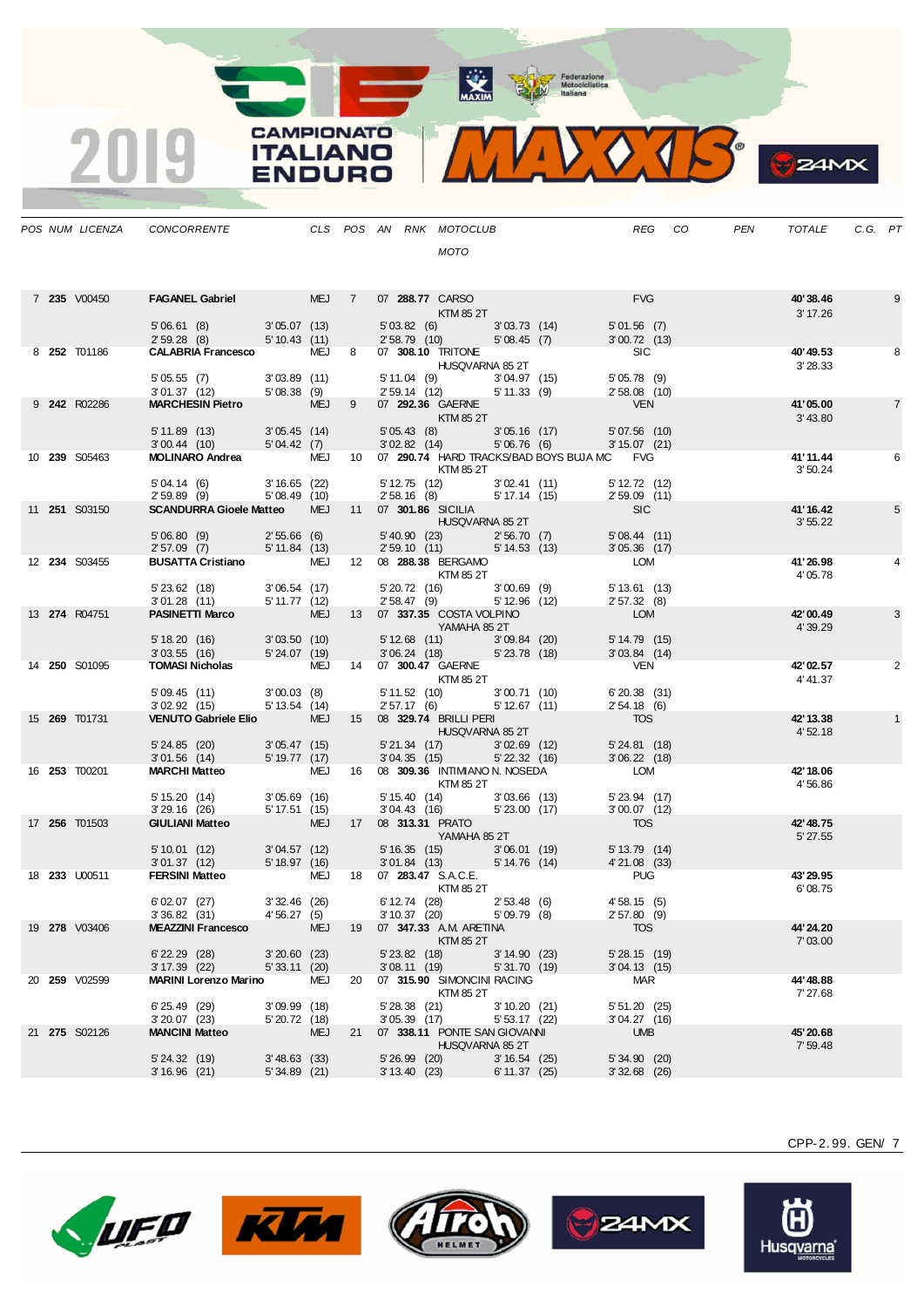MAXIM Pederazione

**CAMPIONATO** MIDO TR **ITALIANO ENDURO** 

|  | POS NUM LICENZA      | CONCORRENTE CLS POS AN RNK MOTOCLUB                                                                                                                |                            |     |    |                              |                                                            |                              |                                                                                                                                                                                                                                               |                                     | REG CO | PEN | TOTALE               | C.G. PT |                |
|--|----------------------|----------------------------------------------------------------------------------------------------------------------------------------------------|----------------------------|-----|----|------------------------------|------------------------------------------------------------|------------------------------|-----------------------------------------------------------------------------------------------------------------------------------------------------------------------------------------------------------------------------------------------|-------------------------------------|--------|-----|----------------------|---------|----------------|
|  |                      |                                                                                                                                                    |                            |     |    |                              | MOTO                                                       |                              |                                                                                                                                                                                                                                               |                                     |        |     |                      |         |                |
|  |                      |                                                                                                                                                    |                            |     |    |                              |                                                            |                              |                                                                                                                                                                                                                                               |                                     |        |     |                      |         |                |
|  | 7 235 V00450         | FAGANEL Gabriel MEJ 7 07 288.77 CARSO                                                                                                              |                            |     |    |                              |                                                            |                              |                                                                                                                                                                                                                                               | <b>FVG</b>                          |        |     | 40'38.46             |         | 9              |
|  |                      | 5'06.61 (8) 3'05.07 (13)                                                                                                                           |                            |     |    |                              | KTM 85 2T<br>5'03.82 (6) 3'03.73 (14)                      |                              |                                                                                                                                                                                                                                               | 5'01.56(7)                          |        |     | 3' 17.26             |         |                |
|  |                      | 2' 59.28 (8) 5' 10.43 (11)                                                                                                                         |                            |     |    |                              | 2' 58.79 (10)                                              | 5'08.45(7)                   |                                                                                                                                                                                                                                               | 3'00.72(13)                         |        |     |                      |         |                |
|  | 8 252 T01186         | <b>CALABRIA Francesco</b> MEJ 8 07 308.10 TRITONE                                                                                                  |                            |     |    |                              |                                                            |                              |                                                                                                                                                                                                                                               | <b>SIC</b>                          |        |     | 40'49.53<br>3'28.33  |         | 8              |
|  |                      |                                                                                                                                                    |                            |     |    |                              |                                                            |                              | 07 300.19<br>HUSQVARNA 85 2T<br>5'11.04 (9) 3'04.97 (15) 5'05.78 (9)<br>2'58.08 (10) 5'11.33 (9) 2'58.08 (10)<br>- 2'58.08 (10)                                                                                                               |                                     |        |     |                      |         |                |
|  | 9 242 R02286         | 5' 05.55 (7) 3' 03.89 (11) 5' 11.04 (9) 3'<br>3' 01.37 (12) 5' 08.38 (9) 2' 59.14 (12) 5'<br><b>MARCHESIN Pietro</b> MEJ 9 07 <b>292.36</b> GAERNE |                            |     |    |                              |                                                            |                              |                                                                                                                                                                                                                                               |                                     |        |     | 41'05.00             |         | $\overline{7}$ |
|  |                      |                                                                                                                                                    |                            |     |    |                              | <b>Example 25 ST EXTM 85 2T</b>                            |                              |                                                                                                                                                                                                                                               |                                     |        |     | 3'43.80              |         |                |
|  |                      | 5' 11.89 (13) 3' 05.45 (14)<br>3' 00.44 (10) 5' 04.42 (7)                                                                                          |                            |     |    |                              |                                                            |                              | 5'05.43 (8) 3'05.16 (17) 5'07.56 (10)<br>3'02.82 (14) 5'06.76 (6) 3'15.07 (21)                                                                                                                                                                |                                     |        |     |                      |         |                |
|  | 10 239 S05463        | MOLINARO Andrea MEJ 10 07 290.74 HARD TRACKS/BAD BOYS BUJA MC FVG                                                                                  |                            |     |    |                              |                                                            |                              |                                                                                                                                                                                                                                               |                                     |        |     | 41'11.44             |         | 6              |
|  |                      | 5' 04.14 (6) 3' 16.65 (22)                                                                                                                         |                            |     |    |                              | KTM 85 2T                                                  |                              | 5' 12.75 (12) 3' 02.41 (11) 5' 12.72 (12)                                                                                                                                                                                                     |                                     |        |     | 3'50.24              |         |                |
|  |                      | $2'59.89$ (9) $5'08.49$ (10)                                                                                                                       |                            |     |    |                              |                                                            |                              | 2' 58.16 (8) 5' 17.14 (15) 2' 59.09 (11)                                                                                                                                                                                                      |                                     |        |     |                      |         |                |
|  | 11 <b>251</b> S03150 | SCANDURRA Gioele Matteo MEJ 11 07 301.86 SICILIA                                                                                                   |                            |     |    |                              | <b>HUSQVARNA 85 2T</b>                                     |                              |                                                                                                                                                                                                                                               | <b>SIC</b>                          |        |     | 41'16.42<br>3'55.22  |         | 5              |
|  |                      | 5'06.80 (9) 2'55.66 (6)                                                                                                                            |                            |     |    |                              |                                                            |                              |                                                                                                                                                                                                                                               |                                     |        |     |                      |         |                |
|  |                      | 2'57.09(7)                                                                                                                                         | 5' 11.84 (13)              |     |    |                              |                                                            |                              | $\left. \begin{array}{llllll} 5^\prime\,40.90 & (23) & \qquad & 2^\prime\,56.70 & (7) & \qquad & 5^\prime\,08.44 & (11) \\ 2^\prime\,59.10 & (11) & \qquad & 5^\prime\,14.53 & (13) & \qquad & 3^\prime\,05.36 & (17) \\ \end{array} \right.$ |                                     |        |     |                      |         |                |
|  | 12 <b>234</b> S03455 | BUSATTA Cristiano MEJ 12 08 288.38 BERGAMO                                                                                                         |                            |     |    |                              | <b>KTM 85 2T</b>                                           |                              |                                                                                                                                                                                                                                               | LOM                                 |        |     | 41'26.98<br>4'05.78  |         |                |
|  |                      | 5' 23.62 (18) 3' 06.54 (17)<br>3' 01.28 (11) 5' 11.77 (12)                                                                                         |                            |     |    |                              | 5'20.72 (16) 3'00.69 (9)<br>$2'58.47$ (9) $5'12.96$ (12)   |                              |                                                                                                                                                                                                                                               | 5'13.61(13)                         |        |     |                      |         |                |
|  | 13 274 R04751        | <b>PASINETTI Marco</b> MEJ 13 07 337.35 COSTA VOLPINO                                                                                              |                            |     |    |                              |                                                            |                              |                                                                                                                                                                                                                                               | 2'57.32(8)<br><b>LOM</b>            |        |     | 42'00.49             |         | 3              |
|  |                      |                                                                                                                                                    |                            |     |    |                              | YAMAHA 85 2T                                               |                              |                                                                                                                                                                                                                                               |                                     |        |     | 4'39.29              |         |                |
|  |                      | 5' 18.20 (16) 3' 03.50 (10)<br>$3'03.55$ (16) $5'24.07$ (19)                                                                                       |                            |     |    |                              | 5' 12.68 (11) 3' 09.84 (20)<br>3' 06.24 (18) 5' 23.78 (18) |                              |                                                                                                                                                                                                                                               | 5'14.79(15)<br>$3'03.84$ (14)       |        |     |                      |         |                |
|  | 14 250 S01095        | TOMASI Nicholas MEJ 14 07 300.47 GAERNE                                                                                                            |                            |     |    |                              |                                                            |                              |                                                                                                                                                                                                                                               | VEN <sup>1</sup>                    |        |     | 42'02.57             |         | 2              |
|  |                      |                                                                                                                                                    |                            |     |    |                              | <b>KTM 85 2T</b>                                           |                              |                                                                                                                                                                                                                                               | $6'20.38$ (31)                      |        |     | 4'41.37              |         |                |
|  |                      | 5' 09.45 (11) 3' 00.03 (8)<br>3' 02.92 (15) 5' 13.54 (14)                                                                                          |                            |     |    |                              | 5' 11.52 (10) 3' 00.71 (10)<br>2' 57.17 (6) 5' 12.67 (11)  |                              |                                                                                                                                                                                                                                               | 2'54.18(6)                          |        |     |                      |         |                |
|  | 15 269 T01731        | VENUTO Gabriele Elio MEJ 15 08 329.74 BRILLI PERI                                                                                                  |                            |     |    |                              | HUSQVARNA 85 2T                                            |                              |                                                                                                                                                                                                                                               | TOS                                 |        |     | 42' 13.38<br>4'52.18 |         | $\mathbf{1}$   |
|  |                      | 5' 24.85 (20) 3' 05.47 (15)                                                                                                                        |                            |     |    |                              | 5'21.34 (17) 3'02.69 (12)                                  |                              |                                                                                                                                                                                                                                               | 5'24.81(18)                         |        |     |                      |         |                |
|  | 16 <b>253</b> T00201 | 3'01.56 (14) 5'19.77 (17)<br><b>MARCHI Matteo</b> MEJ 16 08 <b>309.36 INTIMIANO N. NOSEDA</b>                                                      |                            |     |    |                              | 3'04.35(15)                                                |                              | 5' 22.32 (16)                                                                                                                                                                                                                                 | $3'06.22$ (18)<br><b>LOM</b>        |        |     | 42' 18.06            |         |                |
|  |                      |                                                                                                                                                    |                            |     |    |                              | <b>KTM 85 2T</b>                                           |                              |                                                                                                                                                                                                                                               |                                     |        |     | 4'56.86              |         |                |
|  |                      | 5' 15.20 (14) 3' 05.69 (16)<br>3' 29.16 (26) 5' 17.51 (15)                                                                                         |                            |     |    |                              | 5' 15.40 (14) 3' 03.66 (13)<br>3'04.43 (16) 5'23.00 (17)   |                              |                                                                                                                                                                                                                                               | $5'$ 23.94 $(17)$<br>$3'00.07$ (12) |        |     |                      |         |                |
|  | 17 <b>256</b> T01503 | <b>GIULIANI Matteo</b>                                                                                                                             | MEJ 17 08 313.31 PRATO     |     |    |                              |                                                            |                              |                                                                                                                                                                                                                                               | <b>TOS</b>                          |        |     | 42' 48.75            |         |                |
|  |                      |                                                                                                                                                    |                            |     |    |                              | <b>THE YAMAHA 85 2T</b>                                    |                              |                                                                                                                                                                                                                                               |                                     |        |     | 5' 27.55             |         |                |
|  |                      | 5' 10.01 (12) 3' 04.57 (12)<br>3' 01.37 (12) 5' 18.97 (16)                                                                                         |                            |     |    |                              |                                                            |                              | 5'16.35 (15) 3'06.01 (19) 5'13.79 (14)<br>3'01.84 (13) 5'14.76 (14) 4'21.08 (33)                                                                                                                                                              |                                     |        |     |                      |         |                |
|  | 18 <b>233 U00511</b> | FERSINI Matteo MEJ 18 07 283.47 S.A.C.E.                                                                                                           |                            |     |    |                              | KTM 85 2T                                                  |                              |                                                                                                                                                                                                                                               | <b>PUG</b>                          |        |     | 43'29.95<br>6'08.75  |         |                |
|  |                      | 6'02.07(27)                                                                                                                                        | $3'32.46$ (26)             |     |    |                              | 6' 12.74 (28) 2' 53.48 (6)                                 |                              |                                                                                                                                                                                                                                               | 4'58.15(5)                          |        |     |                      |         |                |
|  | 19 278 V03406        | 3'36.82(31)<br><b>MEAZZINI Francesco</b>                                                                                                           | 4'56.27(5)                 | MEJ |    | 3' 10.37 (20)                | 19 07 347.33 A.M. ARETINA                                  | 5'09.79(8)                   |                                                                                                                                                                                                                                               | $2'57.80$ (9)<br><b>TOS</b>         |        |     | 44' 24.20            |         |                |
|  |                      |                                                                                                                                                    |                            |     |    |                              | KTM 85 2T                                                  |                              |                                                                                                                                                                                                                                               |                                     |        |     | 7'03.00              |         |                |
|  |                      | $6'$ 22.29 (28)<br>3'17.39(22)                                                                                                                     | 3'20.60(23)<br>5'33.11(20) |     |    | 5' 23.82 (18)<br>3'08.11(19) |                                                            | 3' 14.90 (23)<br>5'31.70(19) |                                                                                                                                                                                                                                               | 5'28.15(19)<br>3'04.13(15)          |        |     |                      |         |                |
|  | 20 259 V02599        | <b>MARINI Lorenzo Marino</b>                                                                                                                       |                            | MEJ | 20 |                              | 07 315.90 SIMONCINI RACING                                 |                              |                                                                                                                                                                                                                                               | MAR                                 |        |     | 44'48.88             |         |                |
|  |                      | 6'25.49(29)                                                                                                                                        | 3'09.99(18)                |     |    | $5'28.38$ (21)               | KTM 85 2T                                                  | 3'10.20(21)                  |                                                                                                                                                                                                                                               | $5'51.20$ (25)                      |        |     | 7' 27.68             |         |                |
|  |                      | $3'20.07$ (23)                                                                                                                                     | 5' 20.72 (18)              |     |    | $3'05.39$ (17)               |                                                            | 5' 53.17 (22)                |                                                                                                                                                                                                                                               | $3'04.27$ (16)                      |        |     |                      |         |                |
|  | 21 275 S02126        | <b>MANCINI Matteo</b>                                                                                                                              |                            | MEJ |    |                              | 21 07 338.11 PONTE SAN GIOVANNI<br>HUSQVARNA 85 2T         |                              |                                                                                                                                                                                                                                               | <b>UMB</b>                          |        |     | 45'20.68<br>7'59.48  |         |                |
|  |                      | 5'24.32(19)                                                                                                                                        | $3'48.63$ (33)             |     |    | $5'26.99$ (20)               |                                                            | 3'16.54(25)                  |                                                                                                                                                                                                                                               | $5'34.90$ (20)                      |        |     |                      |         |                |
|  |                      | $3'16.96$ (21)                                                                                                                                     | $5'34.89$ (21)             |     |    | 3' 13.40 (23)                |                                                            | 6' 11.37 (25)                |                                                                                                                                                                                                                                               | $3'32.68$ (26)                      |        |     |                      |         |                |

2019









CPP-2. 99. GEN/ 7

**B**Z4MX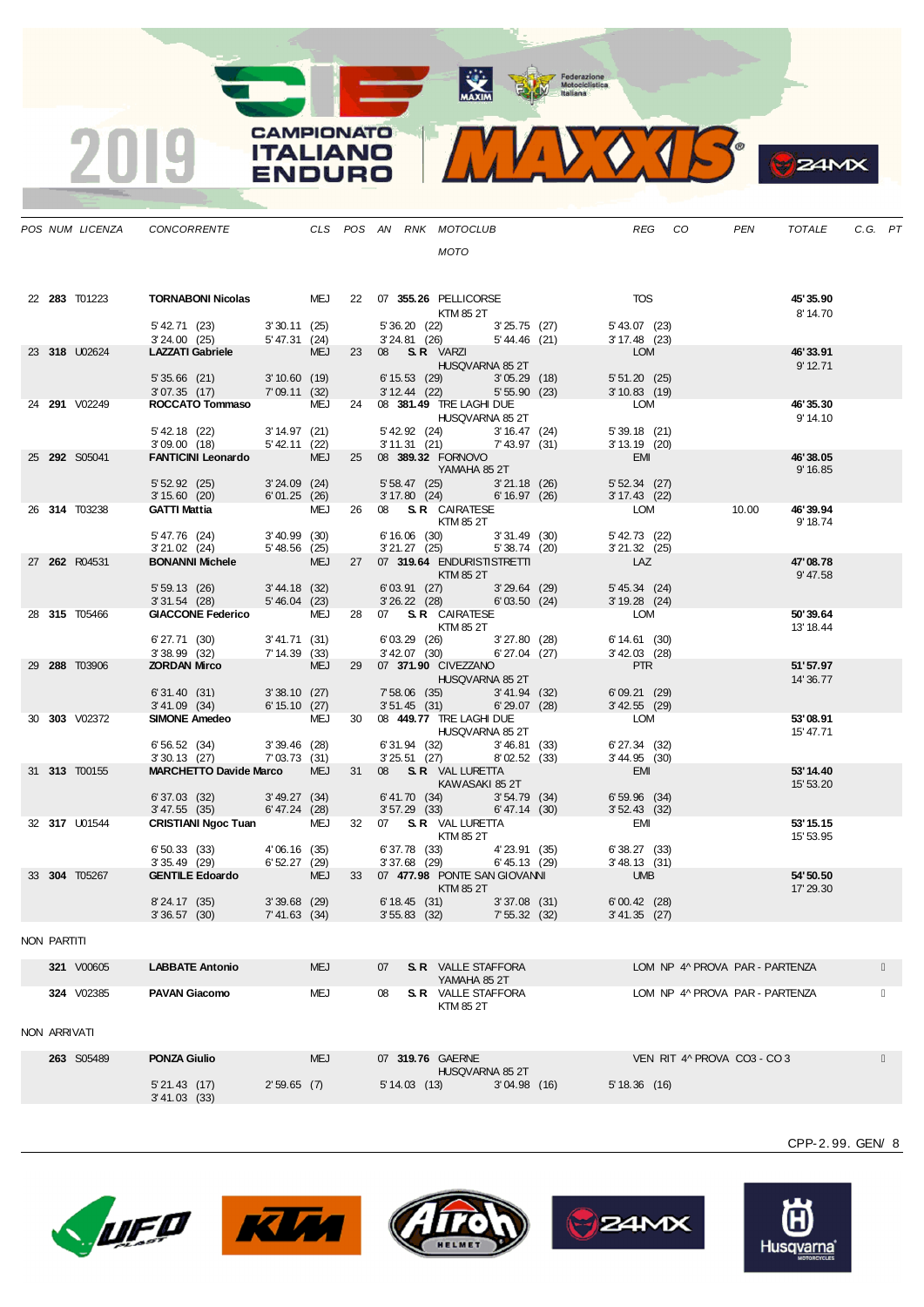MAXIM BOOR Motociclistica

VOJS.  $\mathbf{V}_{\mathbf{A}}$ 

**CAMPIONATO** 

**ITALIANO** 

**ENDURO** 

2019

|              |               | POS NUM LICENZA CONCORRENTE CLS POS AN RNK MOTOCLUB                                                                                                                         |               |            |                  |                                                            |             |                                                                                                                | REG CO                           |                                | PEN   | TOTALE                | C.G. PT |  |
|--------------|---------------|-----------------------------------------------------------------------------------------------------------------------------------------------------------------------------|---------------|------------|------------------|------------------------------------------------------------|-------------|----------------------------------------------------------------------------------------------------------------|----------------------------------|--------------------------------|-------|-----------------------|---------|--|
|              |               |                                                                                                                                                                             |               |            |                  | <b>MOTO</b>                                                |             |                                                                                                                |                                  |                                |       |                       |         |  |
|              |               |                                                                                                                                                                             |               |            |                  |                                                            |             |                                                                                                                |                                  |                                |       |                       |         |  |
|              | 22 283 T01223 | TORNABONI Nicolas MEJ 22 07 355.26 PELLICORSE                                                                                                                               |               |            |                  |                                                            |             |                                                                                                                | <b>TOS</b>                       |                                |       | 45'35.90              |         |  |
|              |               |                                                                                                                                                                             |               |            |                  | KTM 85 2T                                                  |             |                                                                                                                |                                  |                                |       | 8' 14.70              |         |  |
|              |               | 5' 42.71 (23) 3' 30.11 (25)<br>3' 24.00 (25) 5' 47.31 (24)                                                                                                                  |               |            |                  |                                                            |             | 5' 36.20 (22) 3' 25.75 (27) 5' 43.07 (23)<br>3' 24.81 (26) 5' 44.46 (21) 3' 17.48 (23)                         |                                  |                                |       |                       |         |  |
|              | 23 318 U02624 | LAZZATI Gabriele MEJ 23 08 S.R. VARZI                                                                                                                                       |               |            |                  |                                                            |             |                                                                                                                | LOM                              |                                |       | 46'33.91              |         |  |
|              |               |                                                                                                                                                                             |               |            |                  | HUSQVARNA 85 2T                                            |             |                                                                                                                |                                  |                                |       | $9'$ 12.71            |         |  |
|              |               | 5' 35.66 (21) 3' 10.60 (19)<br>3'07.35 (17) 7'09.11 (32)                                                                                                                    |               |            |                  | $6' 15.53$ (29)<br>3' 12.44 (22) 5' 55.90 (23)             | 3'05.29(18) |                                                                                                                | 5'51.20(25)<br>$3'10.83$ (19)    |                                |       |                       |         |  |
|              | 24 291 V02249 | ROCCATO Tommaso MEJ 24 08 381.49 TRE LAGHI DUE                                                                                                                              |               |            |                  |                                                            |             |                                                                                                                | LOM                              |                                |       | 46'35.30              |         |  |
|              |               |                                                                                                                                                                             |               |            |                  | <b>HUSQVARNA 85 2T</b>                                     |             |                                                                                                                |                                  |                                |       | 9' 14.10              |         |  |
|              |               | 5' 42.18 (22) 3' 14.97 (21)<br>3' 09.00 (18) 5' 42.11 (22)                                                                                                                  |               |            |                  | 5' 42.92 (24) 3' 16.47 (24)<br>3' 11.31 (21) 7' 43.97 (31) |             |                                                                                                                | $5'39.18$ (21)<br>3' 13.19 (20)  |                                |       |                       |         |  |
|              | 25 292 S05041 | FANTICINI Leonardo MEJ 25 08 389.32 FORNOVO                                                                                                                                 |               |            |                  |                                                            |             |                                                                                                                | <b>EMI</b>                       |                                |       | 46'38.05              |         |  |
|              |               | 5' 52.92 (25) 3' 24.09 (24) 3' 35.847 (25) 3' 21.18 (26) 3' 15.60 (20) 6' 01.25 (26) 3' 17.80 (24) 6' 16.97 (26)                                                            |               |            |                  |                                                            |             |                                                                                                                |                                  |                                |       | 9' 16.85              |         |  |
|              |               |                                                                                                                                                                             |               |            |                  |                                                            |             | 5' 58.47 (25) 3' 21.18 (26) 5' 52.34 (27)<br>3' 17.80 (24) 6' 16.97 (26) 3' 17.43 (22)                         |                                  |                                |       |                       |         |  |
|              | 26 314 T03238 | GATTI Mattia 6 MEJ 26 08 S.R. CAIRATESE                                                                                                                                     |               |            |                  | KTM 85 2T                                                  |             |                                                                                                                | <b>LOM</b>                       |                                | 10.00 | 46'39.94<br>9' 18.74  |         |  |
|              |               | $5'47.76$ (24) $3'40.99$ (30) $6'16.06$ (30) $3'21.02$ (24) $5'48.56$ (25) $3'21.27$ (25) $5'38.74$ (20)<br><b>BONANNI Michele</b> MEJ 27 07 <b>319.64</b> ENDURISTISTRETTI |               |            |                  |                                                            |             | 6' 16.06 (30) 3' 31.49 (30)<br>3' 21.27 (25) 5' 38.74 (20)                                                     | 5' 42.73 (22)                    |                                |       |                       |         |  |
|              |               |                                                                                                                                                                             |               |            |                  |                                                            |             |                                                                                                                | $3'21.32$ (25)                   |                                |       | 47'08.78              |         |  |
|              | 27 262 R04531 |                                                                                                                                                                             |               |            |                  | <b>Example 12 KTM 85 2T</b>                                |             |                                                                                                                | <b>LAZ</b>                       |                                |       | 9' 47.58              |         |  |
|              |               | 5' 59.13 (26) 3' 44.18 (32)<br>3' 31.54 (28) 5' 46.04 (23)                                                                                                                  |               |            |                  | 6'03.91 (27) 3'29.64 (29)<br>3'26.22 (28) 6'03.50 (24)     |             |                                                                                                                | $5' 45.34$ (24)                  |                                |       |                       |         |  |
|              | 28 315 T05466 |                                                                                                                                                                             |               |            |                  |                                                            |             |                                                                                                                | 3' 19.28 (24)<br>LOM             |                                |       | 50'39.64              |         |  |
|              |               | GIACCONE Federico MEJ 28 07 S. R CAIRATESE<br>KTM 85 2T                                                                                                                     |               |            |                  |                                                            |             |                                                                                                                |                                  |                                |       | 13' 18.44             |         |  |
|              |               | 6' 27.71 (30) 3' 41.71 (31)                                                                                                                                                 |               |            |                  | 6'03.29 (26) 3'27.80 (28)<br>$3'$ 42.07 (30) 6'27.04 (27)  |             |                                                                                                                | 6' 14.61 (30)<br>$3' 42.03$ (28) |                                |       |                       |         |  |
|              | 29 288 T03906 | 3 38.99 (32) 7 14.39 (33) 3 42.07 (30) 6 27.04 (27)<br><b>ZORDAN Mirco</b> MEJ 29 07 <b>371.90</b> CIVEZZANO                                                                |               |            |                  |                                                            |             |                                                                                                                | PTR                              |                                |       | 51'57.97              |         |  |
|              |               |                                                                                                                                                                             |               |            |                  | HUSQVARNA 85 2T                                            |             |                                                                                                                | 6'09.21(29)                      |                                |       | 14' 36.77             |         |  |
|              |               | 6' 31.40 (31) 3' 38.10 (27)<br>3' 41.09 (34) 6' 15.10 (27)                                                                                                                  |               |            |                  |                                                            |             | 7' 58.06 (35) 3' 41.94 (32)<br>3' 51.45 (31) 6' 29.07 (28)                                                     | $3'$ 42.55 (29)                  |                                |       |                       |         |  |
|              | 30 303 V02372 | SIMONE Amedeo<br>SIMONE Amedeo<br>HUSQVARNA 85 2T                                                                                                                           |               |            |                  |                                                            |             |                                                                                                                | LOM                              |                                |       | 53'08.91              |         |  |
|              |               |                                                                                                                                                                             |               |            |                  |                                                            |             |                                                                                                                | 6' 27.34 (32)                    |                                |       | 15' 47.71             |         |  |
|              |               | 6' 56.52 (34) 3' 39.46 (28)<br>3' 30.13 (27) 7' 03.73 (31)                                                                                                                  |               |            |                  | 6' 31.94 (32) 3' 46.81 (33)<br>3' 25.51 (27) 8' 02.52 (33) |             |                                                                                                                | $3'44.95$ (30)                   |                                |       |                       |         |  |
|              | 31 313 T00155 | MARCHETTO Davide Marco MEJ 31 08 S.R. VAL LURETTA                                                                                                                           |               |            |                  | KAWASAKI 85 2T                                             |             |                                                                                                                | EMI <sup>1</sup>                 |                                |       | 53'14.40<br>15' 53.20 |         |  |
|              |               | $6'37.03$ (32) $3'49.27$ (34)                                                                                                                                               |               |            |                  |                                                            |             | $6' 41.70$ (34) $3' 54.79$ (34)                                                                                | $6'59.96$ (34)                   |                                |       |                       |         |  |
|              | 32 317 U01544 | 3' 47.55 (35) 6' 47.24 (28)<br>CRISTIANI Ngoc Tuan MEJ 32 07 S.R. VAL LURETTA                                                                                               |               |            |                  |                                                            |             | 3' 57.29 (33) 6' 47.14 (30)                                                                                    | $3'52.43$ (32)<br><b>EMI</b>     |                                |       | 53' 15.15             |         |  |
|              |               |                                                                                                                                                                             |               |            |                  | <b>EXAMPLE 12 IN STREET STATES 25 2T</b>                   |             |                                                                                                                |                                  |                                |       | 15' 53.95             |         |  |
|              |               | 6' 50.33 (33) 4' 06.16 (35)<br>3' 35.49 (29) 6' 52.27 (29)                                                                                                                  |               |            |                  |                                                            |             | $6'37.78$ (33) $4'23.91$ (35) $6'38.27$ (33)<br>$3'37.68$ (29) $6'45.13$ (29) $3'48.13$ (31)<br>$3'48.13$ (31) |                                  |                                |       |                       |         |  |
|              | 33 304 T05267 | GENTILE Edoardo MEJ 33 07 477.98 PONTE SAN GIOVANNI UMB                                                                                                                     |               |            |                  |                                                            |             |                                                                                                                |                                  |                                |       | 54'50.50              |         |  |
|              |               |                                                                                                                                                                             |               |            |                  | KTM 85 2T                                                  |             |                                                                                                                |                                  |                                |       | 17' 29.30             |         |  |
|              |               | 8'24.17 (35) 3'39.68 (29)<br>3' 36.57 (30) 7' 41.63 (34)                                                                                                                    |               |            |                  |                                                            |             | 6'18.45 (31) 3'37.08 (31)<br>3' 55.83 (32) 7' 55.32 (32) 3' 41.35 (27)                                         | $6'00.42$ (28)                   |                                |       |                       |         |  |
|              |               |                                                                                                                                                                             |               |            |                  |                                                            |             |                                                                                                                |                                  |                                |       |                       |         |  |
| NON PARTITI  |               |                                                                                                                                                                             |               |            |                  |                                                            |             |                                                                                                                |                                  |                                |       |                       |         |  |
|              | 321 V00605    | <b>LABBATE Antonio</b>                                                                                                                                                      |               | <b>MEJ</b> | 07               | <b>S. R</b> VALLE STAFFORA                                 |             |                                                                                                                |                                  | LOM NP 4^ PROVA PAR - PARTENZA |       |                       |         |  |
|              | 324 V02385    | <b>PAVAN Giacomo</b>                                                                                                                                                        |               | MEJ        | 08               | YAMAHA 85 2T<br><b>S. R</b> VALLE STAFFORA                 |             |                                                                                                                |                                  | LOM NP 4^ PROVA PAR - PARTENZA |       |                       |         |  |
|              |               |                                                                                                                                                                             |               |            |                  | KTM 85 2T                                                  |             |                                                                                                                |                                  |                                |       |                       |         |  |
|              |               |                                                                                                                                                                             |               |            |                  |                                                            |             |                                                                                                                |                                  |                                |       |                       |         |  |
| NON ARRIVATI |               |                                                                                                                                                                             |               |            |                  |                                                            |             |                                                                                                                |                                  |                                |       |                       |         |  |
|              | 263 S05489    | <b>PONZA Giulio</b>                                                                                                                                                         |               | <b>MEJ</b> | 07 319.76 GAERNE |                                                            |             |                                                                                                                |                                  | VEN RIT 4^ PROVA CO3 - CO3     |       |                       |         |  |
|              |               | 5'21.43(17)                                                                                                                                                                 | $2'59.65$ (7) |            | $5' 14.03$ (13)  | HUSQVARNA 85 2T                                            | 3'04.98(16) |                                                                                                                | 5'18.36(16)                      |                                |       |                       |         |  |
|              |               | 3' 41.03 (33)                                                                                                                                                               |               |            |                  |                                                            |             |                                                                                                                |                                  |                                |       |                       |         |  |











CPP-2. 99. GEN/ 8

**B**<sub>z</sub>amx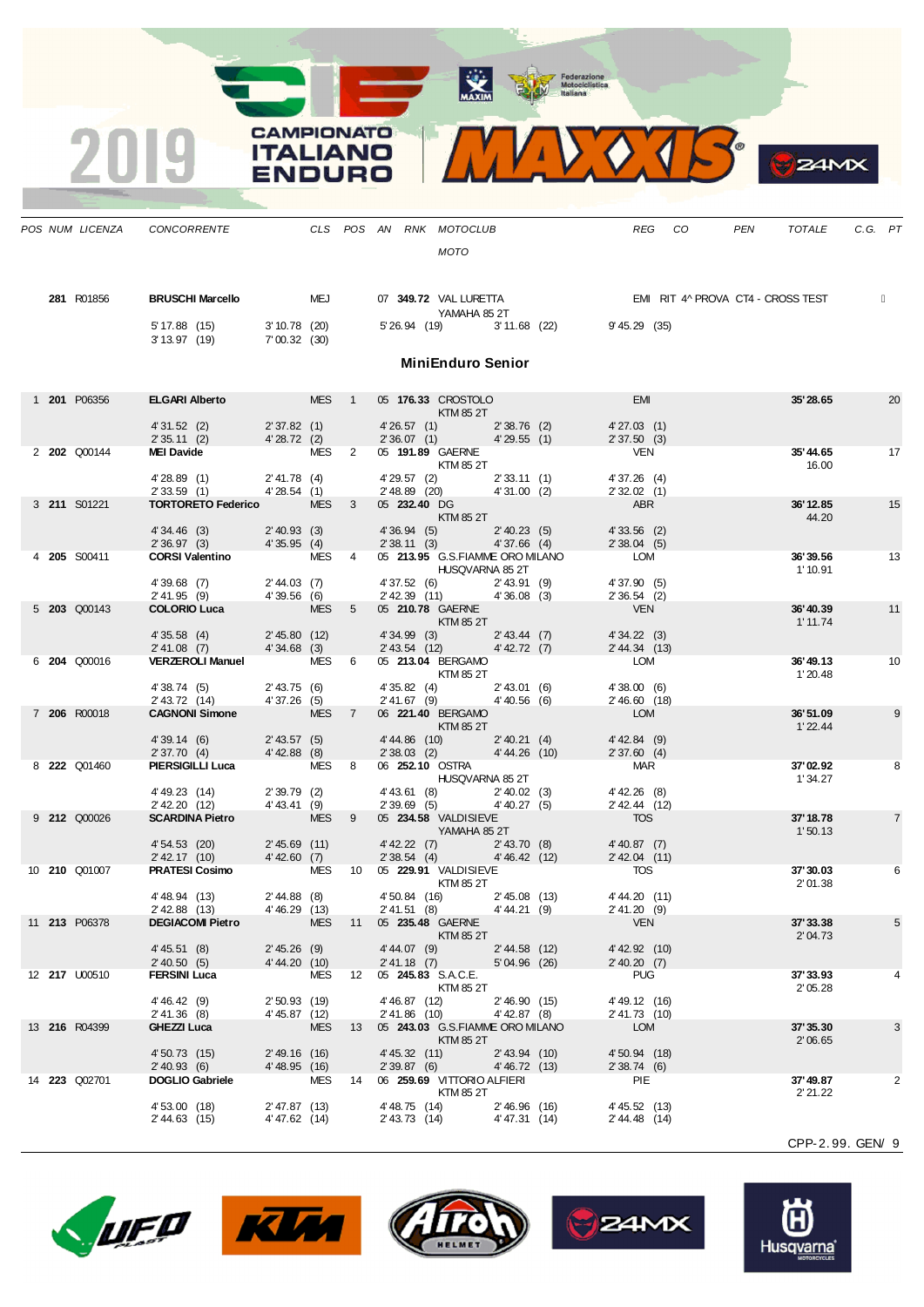CAMPIONATO **ITALIANO** VOURC



 $\frac{1}{\sqrt{2}}$ 

*POS NUM LICENZA CONCORRENTE CLS POS AN RNK MOTOCLUB REG CO PEN TOTALE C.G. PT*

*MOTO* **281** R01856 **BRUSCHI Marcello** MEJ 07 **349.72** VAL LURETTA EMI RIT 4^ PROVA CT4 - CROSS TEST YAMAHA 85 2T  $5'17.88$  (15)  $3'10.78$  (20)  $5'26.94$  (19)  $3'11.68$  (22)  $9'45.29$  (35)<br> $3'13.97$  (19)  $7'00.32$  (30)  $7' 00.32 (30)$ **MiniEnduro Senior** 1 **201** P06356 **ELGARI Alberto** MES 1 05 **176.33** CROSTOLO EMI **35'28.65** 20 KTM 85 2T 4' 31.52 (2) 2' 37.82 (1) 4' 26.57 (1) 2' 38.76 (2) 4' 27.03 (1) 2' 35.11 (2) 4' 28.72 (2) 2' 36.07 (1) 4' 29.55 (1) 2' 37.50 (3) 2' 35.11 (2) 4' 28.72 (2) 2' 36.07 (1) 4' 29.55 (1) 2' 37.50 (3)<br>MEI Davide MES 2 05 191.89 GAERNE VEN 2 **202** Q00144 **MEI Davide** MES 2 05 **191.89** GAERNE VEN **35'44.65** 17 KTM 85 2T 4' 28.89 (1) 2' 41.78 (4) 4' 29.57 (2) 2' 33.11 (1) 4' 37.26 (4)<br>2' 33.59 (1) 4' 28.54 (1) 2' 48.89 (20) 4' 31.00 (2) 2' 32.02 (1) 2' 33.59 (1) 4' 28.54 (1) 2' 48.89 (20) 4' 31.00 (2) 2' 32.02 (1) 4' 28.54 (1) 2' 48.89 (20) 4' 31.00 (2) 2' 32.02 (1) 3 **211** S01221 **TORTORETO Federico** MES 3 05 **232.40** DG **ABR** ABR **36'12.85** 36'12.85 15 KTM 85 2T 4' 34.46 (3) 2' 40.93 (3) 4' 36.94 (5) 2' 40.23 (5) 4' 33.56 (2)<br>2' 36.97 (3) 4' 35.95 (4) 2' 38.11 (3) 4' 37.66 (4) 2' 38.04 (5) 2' 36.97 (3) 4' 35.95 (4) 2' 38.11 (3) 4' 37.66 (4) 2' 38.04 (<br> **CORSI Valentino** MES 4 05 **213.95** G.S.FIAMME ORO MILANO LOM 4 **205** S00411 **CORSI Valentino** MES 4 05 **213.95** G.S.FIAMME ORO MILANO LOM **36'39.56** 13 HUSQVARNA 85 2T<br>6) 2' 43.91 (9) 4' 37.90 (5) 4' 39.68 (7) 2' 44.03 (7) 4' 37.52 (6) 2' 43.91 (9) 4' 37.90 (5)<br>2' 41.95 (9) 4' 39.56 (6) 2' 42.39 (11) 4' 36.08 (3) 2' 36.54 (2) 2' 41.95 (9) 4' 39.56 (6) 2' 42.39 (11) 4' 36.08 (3) 2' 36.54 (2)<br>COLORIO Luca MES 5 05 210.78 GAERNE VEN 5 **203** Q00143 **COLORIO Luca** MES 5 05 **210.78** GAERNE VEN **36'40.39** 11 KTM 85 2T<br>3) 2' 43.44 (7) 4' 34.22 (3) 4' 30.11.74 4' 35.58 (4) 2' 45.80 (12) 4' 34.99 (3) 2' 43.44 (7) 4' 34.22 (3)<br>2' 41.08 (7) 4' 34.68 (3) 2' 43.54 (12) 4' 42.72 (7) 2' 44.34 (13) 2' 41.08 (7) 4' 34.68 (3) 2' 43.54 (12) 4' 42.72 (7) 2' 44.34 (12) VERZEROLI Manuel MES 6 05 213.04 BERGAMO 6 **204** Q00016 **VERZEROLI Manuel** MES 6 05 **213.04** BERGAMO LOM **36'49.13** 10 KTM 85 2T<br>4) 2' 43.01 (6) 4' 38.00 (6) 4' 38.74 (5) 2' 43.75 (6) 4' 35.82 (4) 2' 43.01 (6) 4' 38.00 (6) 2' 43.72 (14) 4' 37.26 (5) 2' 41.67 (9) 4' 40.56 (6) 2' 46.60 (<br>CAGNONI Simone MES 7 06 221.40 BERGAMO LOM 7 **206** R00018 **CAGNONI Simone** MES 7 06 **221.40** BERGAMO LOM **36'51.09** 9 KTM 85 2T<br>10)  $2' 40.21$  (4)  $4' 42.84$  (9) 4' 49.14 (6) 2' 43.57 (5) 4' 44.86 (10) 2' 40.21 (4) 4' 42.84 (9) 4' 42.84 (9) 4' 42.88 (8) 2' 37.60 (4) 2' 37.70 (4) 4' 42.88 (8) 2' 38.03 (2) 4' 44.26 (10) 2' 37.60 (4) A' 42.88 (8) 2' 37.60 (4) A' 42.88 (8) 4' 44.26 (10) 4' 44.26 (10) 4' 42.88 (8) 4' 42.88 (9) 4' 44.26 (10) 4' 44.26 (10) 4' 44.2 8 **222** Q01460 **PIERSIGILLI Luca** MES 8 06 **252.10** OSTRA MAR **37'02.92** 8 HUSQVARNA 85 2T 1' 34.27<br>3) 2' 40.02 (3) 4' 42.26 (8) 4' 49.23 (14) 2' 39.79 (2) 4' 43.61 (8) 2' 40.02 (3) 4' 42.26 (8)  $2'$  42.20 (12)  $4'$  43.41 (9)  $2'$  39.69 (5)  $4'$  40.27 (5)  $2'$  42.44 (12) **SCARDINA Pietro** MES 9 05 **234.58** VALDISIEVE TOS 9 **212** Q00026 **SCARDINA Pietro** MES 9 05 **234.58** VALDISIEVE TOS **37'18.78** 7 YAMAHA 85 2T<br>7) 2' 43.70 (8) 4' 40.87 (7) 4' 54.53 (20) 2' 45.69 (11) 4' 42.22 (7) 2' 43.70 (8) 4' 40.87 (7)  $2'$  42.17 (10)  $4'$  42.60 (7)  $2'$  38.54 (4)  $4'$  46.42 (12)  $2'$  42.04 (12)  $2'$  42.04 MES 10 05 229.91 VALDISIEVE TOS 10 **210** Q01007 **PRATESI Cosimo** MES 10 05 **229.91** VALDISIEVE TOS **37'30.03** 6 KTM 85 2T<br>16) 2' 45.08 (13) 4' 44.20 (11) 2' 01.38 4' 48.94 (13) 2' 44.88 (8) 4' 50.84 (16) 2' 45.08 (13) 4' 44.20 (11<br>2' 42.88 (13) 4' 46.29 (13) 2' 41.51 (8) 4' 44.21 (9) 2' 41.20 (9)  $2'$  42.88 (13)  $4'$  46.29 (13)  $2'$  41.51 (8)  $4'$  44.21 (9)  $2'$  41.20 (<br>DEGIACOMI Pietro MES 11 05 235.48 GAERNE VEN 11 **213** P06378 **DEGIACOMI Pietro** MES 11 05 **235.48** GAERNE VEN **37'33.38** 5 KTM 85 2T<br>9)  $2' 44.58 (12)$   $4' 42.92 (10)$ 4' 45.51 (8) 2' 45.26 (9) 4' 44.07 (9) 2' 44.58 (12) 4' 42.92 (10) 4' 44.29 (10) 2' 40.50 (5) 4' 44.20 (10) 2' 40.50 (5) 4' 44.20 (10) 2' 41.18 (7) 5' 04.96 (26) 2' 40.20 (29) 2' 40.20 (29) 5' 04.96 (26) 2' 40.20 (7) 12 **217** U00510 **FERSINI Luca** MES 12 05 **245.83** S.A.C.E. PUG **37'33.93** 4 KTM 85 2T 2' 05.28 4' 46.42 (9) 2' 50.93 (19) 4' 46.87 (12) 2' 46.90 (15) 4' 49.12 (16)<br>2' 41.36 (8) 4' 45.87 (12) 2' 41.86 (10) 4' 42.87 (8) 2' 41.73 (10)  $2'$  41.36 (8)  $4'$  45.87 (12)  $2'$  41.86 (10)  $4'$  42.87 (8)  $2'$  41.73 (<br> **GHEZZI Luca** MES 13 05 **243.03** G.S.FIAMME ORO MILANO LOM 13 **216** R04399 **GHEZZI Luca** MES 13 05 **243.03** G.S.FIAMME ORO MILANO LOM **37'35.30** 3 KTM 85 2T<br>11) 2' 43.94 (10) 4' 50.73 (15) 2' 49.16 (16) 4' 45.32 (11) 2' 43.94 (10) 4' 50.94 (18) 2' 40.93 (6) 4' 48.95 (16) 2' 39.87 (6) 4' 46.72 (13) 2' 38.74 (6) 4' 46.95 (16) 2' 39.87 (6) 4' 46.72 (13) 2' 38.74 14 **223** Q02701 **DOGLIO Gabriele** MES 14 06 **259.69** VITTORIO ALFIERI PIE PIE **37'49.87** 221.22<br>KTM 85 2T **37'49.87** 2'21.22 KTM 85 2T<br>14) 2' 46.96 (16) 4' 45.52 (13) 4' 53.00 (18) 2' 47.87 (13) 4' 48.75 (14) 2' 46.96 (16) 4' 45.52 (13)  $4' 47.31 (14)$ 



 $24MX$ 









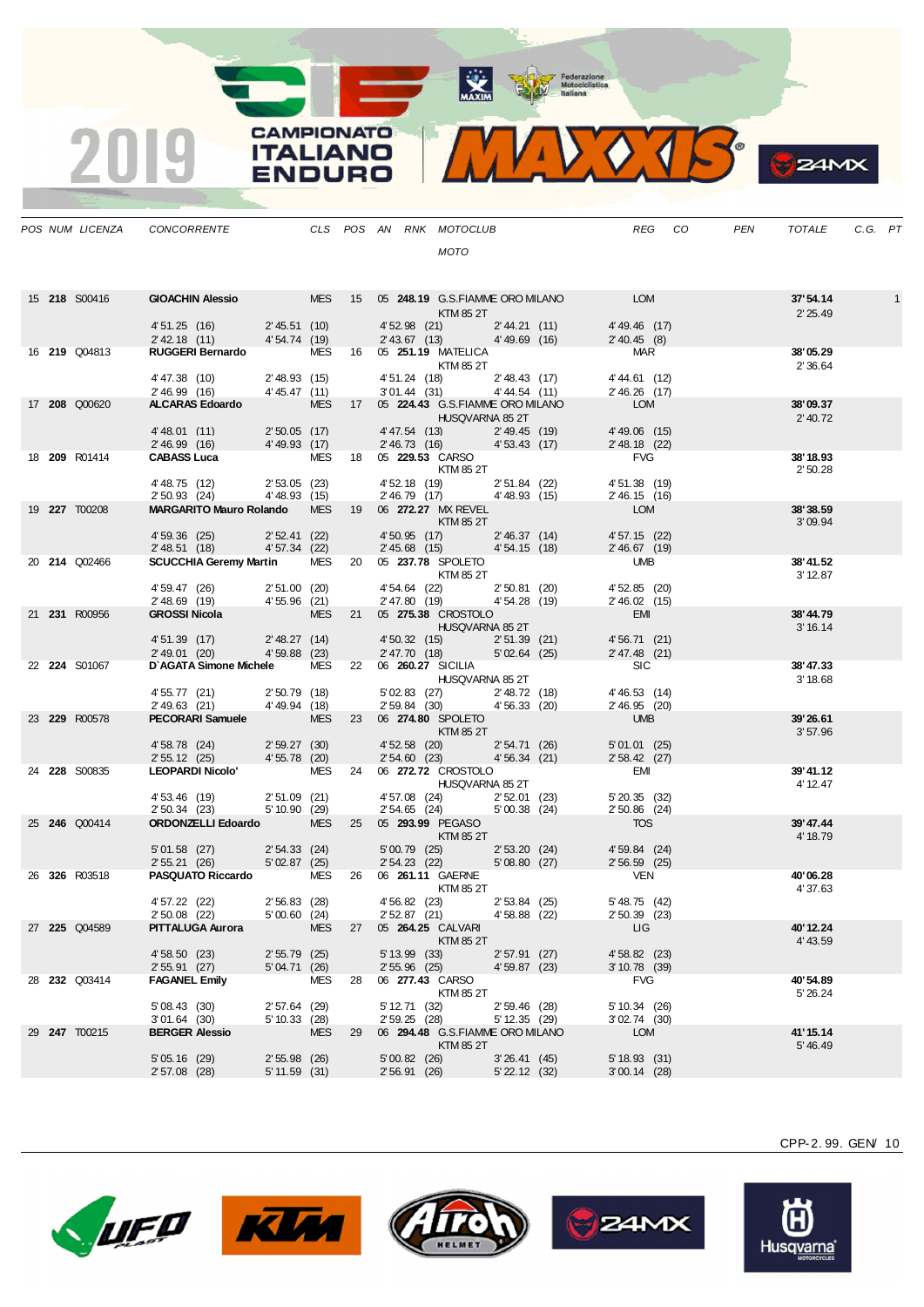**The Contraction**<br> **Motociclistica**<br> **Motociclistica**<br> **Motociclistica** 

 $\lozenge$   $\lozenge$  $\sqrt{4}$ 

 $\bullet$ 

**24MX** 

|  |                      | POS NUM LICENZA CONCORRENTE                                                                                                |                 |            |    |                | CLS POS AN RNK MOTOCLUB                                                                                                                                                                                                                                                                                                                                                                                                                                                                    |                   |                                                        | REG                              | CO | PEN | TOTALE               | C.G. PT |   |
|--|----------------------|----------------------------------------------------------------------------------------------------------------------------|-----------------|------------|----|----------------|--------------------------------------------------------------------------------------------------------------------------------------------------------------------------------------------------------------------------------------------------------------------------------------------------------------------------------------------------------------------------------------------------------------------------------------------------------------------------------------------|-------------------|--------------------------------------------------------|----------------------------------|----|-----|----------------------|---------|---|
|  |                      |                                                                                                                            |                 |            |    |                | <b>MOTO</b>                                                                                                                                                                                                                                                                                                                                                                                                                                                                                |                   |                                                        |                                  |    |     |                      |         |   |
|  |                      |                                                                                                                            |                 |            |    |                |                                                                                                                                                                                                                                                                                                                                                                                                                                                                                            |                   |                                                        |                                  |    |     |                      |         |   |
|  | 15 <b>218</b> S00416 | GIOACHIN Alessio MES 15 05 248.19 G.S.FIAMME ORO MILANO LOM                                                                |                 |            |    |                |                                                                                                                                                                                                                                                                                                                                                                                                                                                                                            |                   |                                                        |                                  |    |     | 37'54.14             |         | 1 |
|  |                      |                                                                                                                            |                 |            |    |                | KTM 85 2T                                                                                                                                                                                                                                                                                                                                                                                                                                                                                  |                   |                                                        |                                  |    |     | 2' 25.49             |         |   |
|  |                      | 4' 51.25 (16) 2' 45.51 (10)<br>2' 42.18 (11) 4' 54.74 (19)                                                                 |                 |            |    |                | 4'52.98 (21) 2'44.21 (11)<br>2' 43.67 (13) 4' 49.69 (16)                                                                                                                                                                                                                                                                                                                                                                                                                                   |                   |                                                        | 4'49.46 (17)<br>2' 40.45 (8)     |    |     |                      |         |   |
|  | 16 <b>219</b> Q04813 | RUGGERI Bernardo MES 16 05 251.19 MATELICA                                                                                 |                 |            |    |                |                                                                                                                                                                                                                                                                                                                                                                                                                                                                                            |                   |                                                        | <b>MAR</b>                       |    |     | 38'05.29             |         |   |
|  |                      |                                                                                                                            |                 |            |    |                | <b>KTM 85 2T</b>                                                                                                                                                                                                                                                                                                                                                                                                                                                                           |                   |                                                        |                                  |    |     | 2' 36.64             |         |   |
|  |                      | 4' 47.38 (10) 2' 48.93 (15)<br>2' 46.99 (16) 4' 45.47 (11)                                                                 |                 |            |    |                | 4'51.24 (18) 2'48.43 (17)<br>$3'01.44$ (31) $4'44.54$ (11)                                                                                                                                                                                                                                                                                                                                                                                                                                 |                   |                                                        | 4'44.61 (12)<br>2' 46.26 (17)    |    |     |                      |         |   |
|  | 17 208 Q00620        | ALCARAS Edoardo MES 17 05 224.43 G.S.FIAMME ORO MILANO                                                                     |                 |            |    |                |                                                                                                                                                                                                                                                                                                                                                                                                                                                                                            |                   |                                                        | LOM                              |    |     | 38'09.37             |         |   |
|  |                      | 4'48.01 (11) 2'50.05 (17)                                                                                                  |                 |            |    |                | HUSQVARNA 85 2T                                                                                                                                                                                                                                                                                                                                                                                                                                                                            |                   |                                                        |                                  |    |     | 2'40.72              |         |   |
|  |                      | 4' 48.01 (11) $2'50.05$ (17) $4'47.54$ (13) $2'49.45$ (19)<br>$2'46.99$ (16) $4'49.93$ (17) $2'46.73$ (16) $4'53.43$ (17)  |                 |            |    |                |                                                                                                                                                                                                                                                                                                                                                                                                                                                                                            |                   |                                                        | $4' 49.06$ (15)<br>2' 48.18 (22) |    |     |                      |         |   |
|  | 18 209 R01414        | <b>CABASS Luca</b>                                                                                                         |                 |            |    |                | MES 18 05 229.53 CARSO                                                                                                                                                                                                                                                                                                                                                                                                                                                                     |                   |                                                        | FVG                              |    |     | 38'18.93             |         |   |
|  |                      |                                                                                                                            |                 |            |    |                | <b>KTM 85 2T</b>                                                                                                                                                                                                                                                                                                                                                                                                                                                                           |                   |                                                        | 4' 51.38 (19)                    |    |     | 2'50.28              |         |   |
|  |                      | 4' 48.75 (12) 2' 53.05 (23)<br>2' 50.93 (24) 4' 48.93 (15)                                                                 |                 |            |    |                | 4' 52.18 (19) 2' 51.84 (22)<br>2' 46.79 (17) 4' 48.93 (15)                                                                                                                                                                                                                                                                                                                                                                                                                                 |                   |                                                        | 2' 46.15 (16)                    |    |     |                      |         |   |
|  | 19 227 T00208        | MARGARITO Mauro Rolando MES 19 06 272.27 MX REVEL<br>KTM 85 2T                                                             |                 |            |    |                |                                                                                                                                                                                                                                                                                                                                                                                                                                                                                            |                   |                                                        | LOM                              |    |     | 38'38.59             |         |   |
|  |                      | $4'59.36$ (25) $2'52.41$ (22) $4'50.95$ (17)<br>$2'48.51$ (18) $1' = 7$                                                    |                 |            |    |                |                                                                                                                                                                                                                                                                                                                                                                                                                                                                                            |                   | 4' 50.95 (17) 2' 46.37 (14)                            | 4' 57.15 (22)                    |    |     | 3'09.94              |         |   |
|  |                      | $2'$ 48.51 (18)                                                                                                            | 4' 57.34 (22)   |            |    |                | 2' 45.68 (15) 4' 54.15 (18)                                                                                                                                                                                                                                                                                                                                                                                                                                                                |                   |                                                        | 2'46.67(19)                      |    |     |                      |         |   |
|  | 20 214 002466        | SCUCCHIA Geremy Martin MES 20 05 237.78 SPOLETO                                                                            |                 |            |    |                | <b>KTM 85 2T</b>                                                                                                                                                                                                                                                                                                                                                                                                                                                                           |                   |                                                        | <b>UMB</b>                       |    |     | 38'41.52<br>3' 12.87 |         |   |
|  |                      | 4' 59.47 (26) 2' 51.00 (20)<br>2' 48.69 (19) 4' 55.96 (21)                                                                 |                 |            |    |                | 4' 54.64 (22) 2' 50.81 (20)                                                                                                                                                                                                                                                                                                                                                                                                                                                                |                   |                                                        | 4' 52.85 (20)                    |    |     |                      |         |   |
|  |                      |                                                                                                                            |                 |            |    |                | 2' 47.80 (19) 4' 54.28 (19)                                                                                                                                                                                                                                                                                                                                                                                                                                                                |                   |                                                        | 2' 46.02 (15)                    |    |     |                      |         |   |
|  | 21 231 R00956        | <b>GROSSI Nicola</b>                                                                                                       |                 |            |    |                | MES 21 05 275.38 CROSTOLO<br>MES 21 05 275.38 CROSTOLO                                                                                                                                                                                                                                                                                                                                                                                                                                     |                   |                                                        | <b>EMI</b>                       |    |     | 38'44.79<br>3' 16.14 |         |   |
|  |                      | $4'51.39$ (17) $2'48.27$ (14) $4'50.32$ (15) $2'51.39$ (21)<br>$2'49.01$ (20) $4'59.88$ (23) $2'47.70$ (18) $5'02.64$ (25) |                 |            |    |                |                                                                                                                                                                                                                                                                                                                                                                                                                                                                                            |                   |                                                        | 4' 56.71 (21)                    |    |     |                      |         |   |
|  | 22 <b>224 S01067</b> | D'AGATA Simone Michele MES 22 06 260.27 SICILIA                                                                            |                 |            |    |                |                                                                                                                                                                                                                                                                                                                                                                                                                                                                                            |                   |                                                        | $2' 47.48$ (21)<br><b>SIC</b>    |    |     | 38'47.33             |         |   |
|  |                      |                                                                                                                            |                 |            |    |                | HUSQVARNA 85 2T                                                                                                                                                                                                                                                                                                                                                                                                                                                                            |                   |                                                        |                                  |    |     | 3' 18.68             |         |   |
|  |                      | 4' 55.77 (21) 2' 50.79 (18)<br>2' 49.63 (21) 4' 49.94 (18)                                                                 |                 |            |    |                | 5' 02.83 (27) 2' 48.72 (18)<br>2' 59.84 (30) 4' 56.33 (20)                                                                                                                                                                                                                                                                                                                                                                                                                                 |                   |                                                        | 4' 46.53 (14)                    |    |     |                      |         |   |
|  | 23 229 R00578        | PECORARI Samuele MES 23 06 274.80 SPOLETO                                                                                  |                 |            |    |                |                                                                                                                                                                                                                                                                                                                                                                                                                                                                                            |                   |                                                        | 2' 46.95 (20)<br><b>UMB</b>      |    |     | 39'26.61             |         |   |
|  |                      |                                                                                                                            |                 |            |    |                | $\blacksquare$ $\blacksquare$ $\blacksquare$ $\blacksquare$ $\blacksquare$ $\blacksquare$ $\blacksquare$ $\blacksquare$ $\blacksquare$ $\blacksquare$ $\blacksquare$ $\blacksquare$ $\blacksquare$ $\blacksquare$ $\blacksquare$                                                                                                                                                                                                                                                           |                   |                                                        |                                  |    |     | 3'57.96              |         |   |
|  |                      | 4' 58.78 (24) 2' 59.27 (30)<br>2' 55.12 (25) 4' 55.78 (20)                                                                 |                 |            |    |                | 4' 52.58 (20) 2' 54.71 (26)<br>2' 54.60 (23) 4' 56.34 (21)                                                                                                                                                                                                                                                                                                                                                                                                                                 |                   |                                                        | 5'01.01(25)<br>$2'58.42$ (27)    |    |     |                      |         |   |
|  | 24 228 S00835        | LEOPARDI Nicolo' MES 24 06 272.72 CROSTOLO                                                                                 |                 |            |    |                |                                                                                                                                                                                                                                                                                                                                                                                                                                                                                            |                   |                                                        | EMI                              |    |     | 39'41.12             |         |   |
|  |                      |                                                                                                                            |                 |            |    |                | <b>HUSQVARNA 85 2T</b>                                                                                                                                                                                                                                                                                                                                                                                                                                                                     |                   |                                                        |                                  |    |     | 4' 12.47             |         |   |
|  |                      | 4'53.46 (19) 2'51.09 (21)<br>2'50.34(23)                                                                                   | 5'10.90 (29)    |            |    |                | 4' 57.08 (24) 2' 52.01 (23)<br>$2'54.65$ (24) $5'00.38$ (24)                                                                                                                                                                                                                                                                                                                                                                                                                               |                   |                                                        | 5'20.35(32)<br>$2'50.86$ (24)    |    |     |                      |         |   |
|  | 25 246 Q00414        | ORDONZELLI Edoardo MES 25 05 293.99 PEGASO                                                                                 |                 |            |    |                |                                                                                                                                                                                                                                                                                                                                                                                                                                                                                            |                   |                                                        | <b>TOS</b>                       |    |     | 39'47.44             |         |   |
|  |                      | 5'01.58 (27) 2'54.33 (24)                                                                                                  |                 |            |    |                | $\blacksquare$ $\blacksquare$ $\blacksquare$ $\blacksquare$ $\blacksquare$ $\blacksquare$ $\blacksquare$ $\blacksquare$ $\blacksquare$ $\blacksquare$ $\blacksquare$ $\blacksquare$ $\blacksquare$ $\blacksquare$ $\blacksquare$ $\blacksquare$ $\blacksquare$ $\blacksquare$ $\blacksquare$ $\blacksquare$ $\blacksquare$ $\blacksquare$ $\blacksquare$ $\blacksquare$ $\blacksquare$ $\blacksquare$ $\blacksquare$ $\blacksquare$ $\blacksquare$ $\blacksquare$ $\blacksquare$ $\blacks$ |                   |                                                        | 4' 59.84 (24)                    |    |     | 4' 18.79             |         |   |
|  |                      | 2' 55.21 (26)                                                                                                              | 5'02.87(25)     |            |    |                |                                                                                                                                                                                                                                                                                                                                                                                                                                                                                            |                   | 5'00.79 (25) 2'53.20 (24)<br>2'54.23 (22) 5'08.80 (27) | $2'56.59$ (25)                   |    |     |                      |         |   |
|  | 26 326 R03518        | <b>PASQUATO Riccardo</b>                                                                                                   |                 |            |    |                | MES 26 06 261.11 GAERNE                                                                                                                                                                                                                                                                                                                                                                                                                                                                    |                   |                                                        | <b>VEN</b>                       |    |     | 40'06.28             |         |   |
|  |                      | 4' 57.22 (22)                                                                                                              | 2'56.83(28)     |            |    |                | KTM 85 2T<br>$4'56.82$ (23) $2'53.84$ (25)                                                                                                                                                                                                                                                                                                                                                                                                                                                 |                   |                                                        | 5' 48.75 (42)                    |    |     | 4'37.63              |         |   |
|  |                      | 2' 50.08 (22) 5' 00.60 (24)                                                                                                |                 |            |    |                | 2' 52.87 (21) 4' 58.88 (22)                                                                                                                                                                                                                                                                                                                                                                                                                                                                |                   |                                                        | 2' 50.39 (23)                    |    |     |                      |         |   |
|  | 27 225 Q04589        | <b>PITTALUGA Aurora</b>                                                                                                    |                 | <b>MES</b> |    |                | 27 05 264.25 CALVARI                                                                                                                                                                                                                                                                                                                                                                                                                                                                       |                   |                                                        | LIG.                             |    |     | 40'12.24             |         |   |
|  |                      | 4' 58.50 (23)                                                                                                              | $2'55.79$ (25)  |            |    | 5' 13.99 (33)  | KTM 85 2T                                                                                                                                                                                                                                                                                                                                                                                                                                                                                  | $2'57.91$ (27)    |                                                        | 4' 58.82 (23)                    |    |     | 4' 43.59             |         |   |
|  |                      | 2'55.91(27)                                                                                                                | 5'04.71 (26)    |            |    | $2'55.96$ (25) |                                                                                                                                                                                                                                                                                                                                                                                                                                                                                            | $4'59.87$ (23)    |                                                        | $3'10.78$ (39)                   |    |     |                      |         |   |
|  | 28 232 Q03414        | <b>FAGANEL Emily</b>                                                                                                       |                 | MES        | 28 |                | 06 277.43 CARSO<br>KTM 85 2T                                                                                                                                                                                                                                                                                                                                                                                                                                                               |                   |                                                        | <b>FVG</b>                       |    |     | 40'54.89<br>5' 26.24 |         |   |
|  |                      | 5'08.43(30)                                                                                                                | $2'57.64$ (29)  |            |    | 5' 12.71 (32)  |                                                                                                                                                                                                                                                                                                                                                                                                                                                                                            | 2'59.46(28)       |                                                        | 5'10.34(26)                      |    |     |                      |         |   |
|  | 29 247 T00215        | $3'01.64$ (30)<br><b>BERGER Alessio</b>                                                                                    | 5' 10.33 (28)   | <b>MES</b> | 29 | 2' 59.25 (28)  | 06 294.48 G.S.FIAMME ORO MILANO                                                                                                                                                                                                                                                                                                                                                                                                                                                            | 5' 12.35 (29)     |                                                        | $3'02.74$ (30)<br>LOM            |    |     | 41'15.14             |         |   |
|  |                      |                                                                                                                            |                 |            |    |                | KTM 85 2T                                                                                                                                                                                                                                                                                                                                                                                                                                                                                  |                   |                                                        |                                  |    |     | 5' 46.49             |         |   |
|  |                      | $5'05.16$ (29)                                                                                                             | $2'55.98$ (26)  |            |    | $5'00.82$ (26) |                                                                                                                                                                                                                                                                                                                                                                                                                                                                                            | $3'26.41$ (45)    |                                                        | 5'18.93(31)                      |    |     |                      |         |   |
|  |                      | 2' 57.08 (28)                                                                                                              | $5' 11.59$ (31) |            |    | 2'56.91(26)    |                                                                                                                                                                                                                                                                                                                                                                                                                                                                                            | $5'$ 22.12 $(32)$ |                                                        | $3'00.14$ (28)                   |    |     |                      |         |   |





<u>an a</u>

2019

**CAMPIONATO** 

**ITALIANO** 

**ENDURO** 





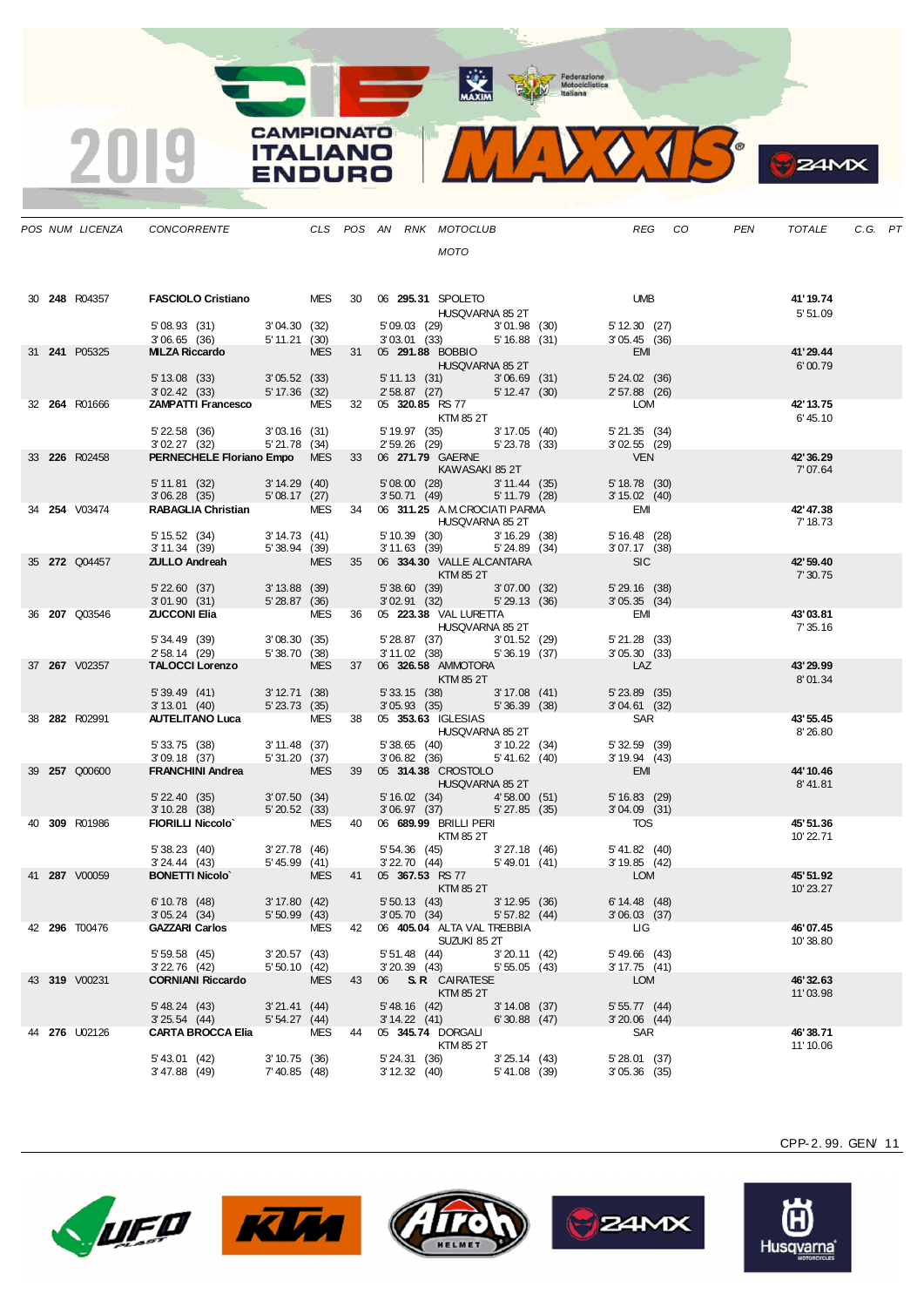MAXIM Rederazione

 $\sqrt{4}$ 

 $\bullet$ 

 $24MX$ 

|  | POS NUM LICENZA      | CONCORRENTE CLS POS AN RNK MOTOCLUB                                                                                                                                                                                      |                            |            |    |                                 |                                                                                                                                                            |                               |                                                            |                                  | REG CO | PEN | TOTALE                | C.G. PT |  |
|--|----------------------|--------------------------------------------------------------------------------------------------------------------------------------------------------------------------------------------------------------------------|----------------------------|------------|----|---------------------------------|------------------------------------------------------------------------------------------------------------------------------------------------------------|-------------------------------|------------------------------------------------------------|----------------------------------|--------|-----|-----------------------|---------|--|
|  |                      |                                                                                                                                                                                                                          |                            |            |    |                                 | MOTO                                                                                                                                                       |                               |                                                            |                                  |        |     |                       |         |  |
|  |                      |                                                                                                                                                                                                                          |                            |            |    |                                 |                                                                                                                                                            |                               |                                                            |                                  |        |     |                       |         |  |
|  | 30 <b>248</b> R04357 | FASCIOLO Cristiano MES 30 06 295.31 SPOLETO                                                                                                                                                                              |                            |            |    |                                 |                                                                                                                                                            |                               |                                                            | <b>UMB</b>                       |        |     | 41'19.74              |         |  |
|  |                      |                                                                                                                                                                                                                          |                            |            |    |                                 | HUSQVARNA 85 2T                                                                                                                                            |                               |                                                            |                                  |        |     | 5'51.09               |         |  |
|  |                      | 5' 08.93 (31) 3' 04.30 (32)                                                                                                                                                                                              |                            |            |    |                                 | $3'03.01$ (33) $5'16.88$ (31)                                                                                                                              |                               | 5'09.03 (29) 3'01.98 (30)                                  | 5' 12.30 (27)<br>3'05.45(36)     |        |     |                       |         |  |
|  | 31 <b>241</b> P05325 | 306.65 (36) 5 11.21 (30) 303.01 (33) 5 16<br>MILZA Riccardo MES 31 05 291.88 BOBBIO                                                                                                                                      |                            |            |    |                                 |                                                                                                                                                            |                               |                                                            | EMI                              |        |     | 41'29.44              |         |  |
|  |                      |                                                                                                                                                                                                                          |                            |            |    |                                 | HUSQVARNA 85 2T                                                                                                                                            |                               |                                                            | $5' 24.02$ (36)                  |        |     | 6'00.79               |         |  |
|  |                      | $\begin{array}{cccccc} 5' \ 13.08 & (33) & & 3' \ 05.52 & (33) & & 5' \ 11.13 & (31) & & 3' \ 06.69 & (31) & & & \\ 3' \ 02.42 & (33) & & 5' \ 17.36 & (32) & & 2' \ 58.87 & (27) & & 5' \ 12.47 & (30) & & \end{array}$ |                            |            |    |                                 |                                                                                                                                                            |                               |                                                            | 2' 57.88 (26)                    |        |     |                       |         |  |
|  | 32 264 R01666        | <b>ZAMPATTI Francesco</b> MES 32 05 320.85 RS 77                                                                                                                                                                         |                            |            |    |                                 |                                                                                                                                                            |                               |                                                            | LOM                              |        |     | 42' 13.75             |         |  |
|  |                      |                                                                                                                                                                                                                          |                            |            |    |                                 | <b>KTM 85 2T</b>                                                                                                                                           |                               |                                                            | $5'$ 21.35 $(34)$                |        |     | 6'45.10               |         |  |
|  |                      | 5' 22.58 (36) 3' 03.16 (31)<br>3' 02.27 (32) 5' 21.78 (34)                                                                                                                                                               |                            |            |    |                                 | 5' 19.97 (35) 3' 17.05 (40)<br>2' 59.26 (29) 5' 23.78 (33)                                                                                                 |                               |                                                            | $3'02.55$ (29)                   |        |     |                       |         |  |
|  | 33 226 R02458        | PERNECHELE Floriano Empo MES 33 06 271.79 GAERNE                                                                                                                                                                         |                            |            |    |                                 |                                                                                                                                                            |                               |                                                            | <b>VEN</b>                       |        |     | 42' 36.29<br>7'07.64  |         |  |
|  |                      | 5' 11.81 (32) 3' 14.29 (40) 5' 08.00 (28) 3' 11.44 (35)<br>3' 06.28 (35) 5' 08.17 (27) 3' 50.71 (49) 5' 11.79 (28)                                                                                                       |                            |            |    |                                 | 5'08.00 (28) 3'11.44 (35)                                                                                                                                  |                               |                                                            | 5' 18.78 (30)                    |        |     |                       |         |  |
|  | 34 <b>254</b> V03474 | RABAGLIA Christian MES 34 06 311.25 A.M.CROCIATI PARMA                                                                                                                                                                   |                            |            |    |                                 | 3' 50.71 (49) 5' 11.79 (28)                                                                                                                                |                               |                                                            | $3' 15.02$ (40)<br>EMI           |        |     | 42' 47.38             |         |  |
|  |                      |                                                                                                                                                                                                                          |                            |            |    |                                 | <b>HUSQVARNA 85 2T</b>                                                                                                                                     |                               |                                                            |                                  |        |     | 7' 18.73              |         |  |
|  |                      | 5' 15.52 (34) 3' 14.73 (41)<br>3' 11.34 (39) 5' 38.94 (39)                                                                                                                                                               |                            |            |    |                                 | 5' 10.39 (30) 3' 16.29 (38)<br>3' 11.63 (39) 5' 24.89 (34)                                                                                                 |                               |                                                            | 5' 16.48 (28)<br>$3'07.17$ (38)  |        |     |                       |         |  |
|  | 35 272 Q04457        | <b>ZULLO Andreah</b> MES 35 06 <b>334.30</b> VALLE ALCANTARA                                                                                                                                                             |                            |            |    |                                 |                                                                                                                                                            |                               |                                                            | SL                               |        |     | 42' 59.40             |         |  |
|  |                      |                                                                                                                                                                                                                          |                            |            |    |                                 |                                                                                                                                                            |                               |                                                            |                                  |        |     | 7'30.75               |         |  |
|  |                      | $522.60 (37) 3'13.88 (39) 5'36.60 (39) 3'07.00301.90 (31) 5'28.87 (36) 3'02.91 (32) 5'29.4'$                                                                                                                             |                            |            |    |                                 | 5'38.60 (39) 3'07.00 (32)<br>$3'02.91$ (32) $5'29.13$ (36)                                                                                                 |                               |                                                            | $5'$ 29.16 $(38)$<br>3'05.35(34) |        |     |                       |         |  |
|  | 36 <b>207</b> Q03546 | <b>ZUCCONI Elia</b> MES 36 05 <b>223.38</b> VAL LURETTA                                                                                                                                                                  |                            |            |    |                                 |                                                                                                                                                            |                               |                                                            | EMI                              |        |     | 43'03.81              |         |  |
|  |                      |                                                                                                                                                                                                                          |                            |            |    |                                 | <b>HUSQVARNA 85 2T</b>                                                                                                                                     |                               |                                                            | $5'$ 21.28 $(33)$                |        |     | 7' 35.16              |         |  |
|  |                      | 5' 34.49 (39) 3' 08.30 (35)<br>2' 58.14 (29) 5' 38.70 (38)<br><b>TALOCCI Lorenzo</b> MES 37                                                                                                                              |                            |            |    |                                 | 5' 28.87 (37) 3' 01.52 (29)<br>3' 11.02 (38) 5' 36.19 (37)                                                                                                 |                               |                                                            | 3'05.30(33)                      |        |     |                       |         |  |
|  | 37 267 V02357        |                                                                                                                                                                                                                          |                            |            |    |                                 | $MES$ 37 06 <b>326.58</b> AMMOTORA<br><b>Example 20 Service Street Street Street Street Street Street Street Street Street Street Street Street Street</b> |                               |                                                            | <b>LAZ</b>                       |        |     | 43'29.99<br>8'01.34   |         |  |
|  |                      | 5' 39.49 (41) 3' 12.71 (38)<br>3' 13.01 (40) 5' 23.73 (35)                                                                                                                                                               |                            |            |    |                                 | 5' 33.15 (38) 3' 17.08 (41)<br>3' 05.93 (35) 5' 36.39 (38)                                                                                                 |                               |                                                            | $5'$ 23.89 $(35)$                |        |     |                       |         |  |
|  | 38 282 R02991        | AUTELITANO Luca MES 38 05 353.63 IGLESIAS                                                                                                                                                                                |                            |            |    |                                 |                                                                                                                                                            |                               |                                                            | $3'04.61$ (32)<br>SAR            |        |     | 43' 55.45             |         |  |
|  |                      |                                                                                                                                                                                                                          |                            |            |    |                                 | <b>HUSQVARNA 85 2T</b>                                                                                                                                     |                               |                                                            |                                  |        |     | 8'26.80               |         |  |
|  |                      | $5'33.75$ (38) $3'11.48$ (37)<br>3'09.18(37)                                                                                                                                                                             | 5'31.20(37)                |            |    |                                 | 5' 38.65 (40) 3' 10.22 (34)<br>$3'06.82$ (36) $5'41.62$ (40)                                                                                               |                               |                                                            | $5'32.59$ (39)<br>3'19.94(43)    |        |     |                       |         |  |
|  | 39 257 Q00600        | FRANCHINI Andrea MES 39 05 314.38 CROSTOLO                                                                                                                                                                               |                            |            |    |                                 |                                                                                                                                                            |                               |                                                            | EMI                              |        |     | 44' 10.46             |         |  |
|  |                      |                                                                                                                                                                                                                          |                            |            |    |                                 | <b>HUSQVARNA 85 2T</b>                                                                                                                                     |                               |                                                            |                                  |        |     | 8'41.81               |         |  |
|  |                      | 5' 22.40 (35) 3' 07.50 (34)<br>3' 10.28 (38) 5' 20.52 (33)                                                                                                                                                               |                            |            |    |                                 | 5' 16.02 (34) 4' 58.00 (51)<br>3' 06.97 (37) 5' 27.85 (35)                                                                                                 |                               |                                                            | 5'16.83(29)<br>$3'04.09$ (31)    |        |     |                       |         |  |
|  | 40 309 R01986        | FIORILLI Niccolo <sup>*</sup> MES 40 06 689.99 BRILLI PERI                                                                                                                                                               |                            |            |    |                                 |                                                                                                                                                            |                               |                                                            | <b>TOS</b>                       |        |     | 45'51.36              |         |  |
|  |                      |                                                                                                                                                                                                                          |                            |            |    |                                 | <b>KTM 85 2T</b>                                                                                                                                           |                               |                                                            | $5' 41.82$ (40)                  |        |     | 10'22.71              |         |  |
|  |                      | 5' 38.23 (40) 3' 27.78 (46) 5' 54.36 (45)<br>3' 24.44 (43) 5' 45.99 (41) 3' 22.70 (44)<br><b>BONETTI Nicolo</b> MES 41 05 <b>367.53</b> RS.77                                                                            |                            |            |    |                                 |                                                                                                                                                            |                               | 5' 54.36 (45) 3' 27.18 (46)<br>3' 22.70 (44) 5' 49.01 (41) | 3' 19.85 (42)                    |        |     |                       |         |  |
|  | 41 287 V00059        |                                                                                                                                                                                                                          |                            |            |    |                                 | <b>KTM 85 2T</b>                                                                                                                                           |                               |                                                            | LOM                              |        |     | 45' 51.92<br>10'23.27 |         |  |
|  |                      | 6'10.78(48)                                                                                                                                                                                                              | 3' 17.80 (42)              |            |    |                                 | 5' 50.13 (43) 3' 12.95 (36)                                                                                                                                |                               |                                                            | $6' 14.48$ (48)                  |        |     |                       |         |  |
|  | 42 <b>296</b> T00476 | 3'05.24(34)<br><b>GAZZARI Carlos</b>                                                                                                                                                                                     | $5'50.99$ (43)             | MES        |    |                                 | 3'05.70(34)<br>42    06    405.04    ALTA VAL TREBBIA                                                                                                      | 5'57.82(44)                   |                                                            | $3'06.03$ (37)<br>LIG.           |        |     | 46'07.45              |         |  |
|  |                      |                                                                                                                                                                                                                          |                            |            |    |                                 | SUZUKI 85 2T                                                                                                                                               |                               |                                                            |                                  |        |     | 10'38.80              |         |  |
|  |                      | 5'59.58(45)<br>3'22.76 (42)                                                                                                                                                                                              | 3'20.57(43)<br>5'50.10(42) |            |    | 5' 51.48 (44)<br>$3'20.39$ (43) |                                                                                                                                                            | $3'20.11$ (42)<br>5'55.05(43) |                                                            | $5'$ 49.66 (43)<br>3'17.75(41)   |        |     |                       |         |  |
|  | 43 319 V00231        | <b>CORNIANI Riccardo</b>                                                                                                                                                                                                 |                            | <b>MES</b> | 43 |                                 | 06 S.R. CAIRATESE                                                                                                                                          |                               |                                                            | LOM                              |        |     | 46'32.63              |         |  |
|  |                      | 5' 48.24 (43)                                                                                                                                                                                                            | $3'21.41$ (44)             |            |    | $5'$ 48.16 $(42)$               | KTM 85 2T                                                                                                                                                  | $3'14.08$ (37)                |                                                            |                                  |        |     | 11'03.98              |         |  |
|  |                      | 3'25.54(44)                                                                                                                                                                                                              | 5'54.27(44)                |            |    | 3'14.22(41)                     |                                                                                                                                                            | $6'30.88$ (47)                |                                                            | 5'55.77(44)<br>$3'20.06$ (44)    |        |     |                       |         |  |
|  | 44 <b>276</b> U02126 | <b>CARTA BROCCA Elia</b>                                                                                                                                                                                                 |                            | MES        | 44 |                                 | 05 345.74 DORGALI                                                                                                                                          |                               |                                                            | SAR                              |        |     | 46' 38.71             |         |  |
|  |                      | 5' 43.01 (42)                                                                                                                                                                                                            | 3'10.75(36)                |            |    | 5' 24.31 (36)                   | KTM 85 2T                                                                                                                                                  | 3'25.14(43)                   |                                                            | 5'28.01(37)                      |        |     | 11' 10.06             |         |  |
|  |                      | $3' 47.88$ (49)                                                                                                                                                                                                          | $7'$ 40.85 (48)            |            |    | 3' 12.32 (40)                   |                                                                                                                                                            | 5' 41.08 (39)                 |                                                            | $3'05.36$ (35)                   |        |     |                       |         |  |

**CAMPIONATO** 

**ITALIANO** 

**ENDURO** 

2019